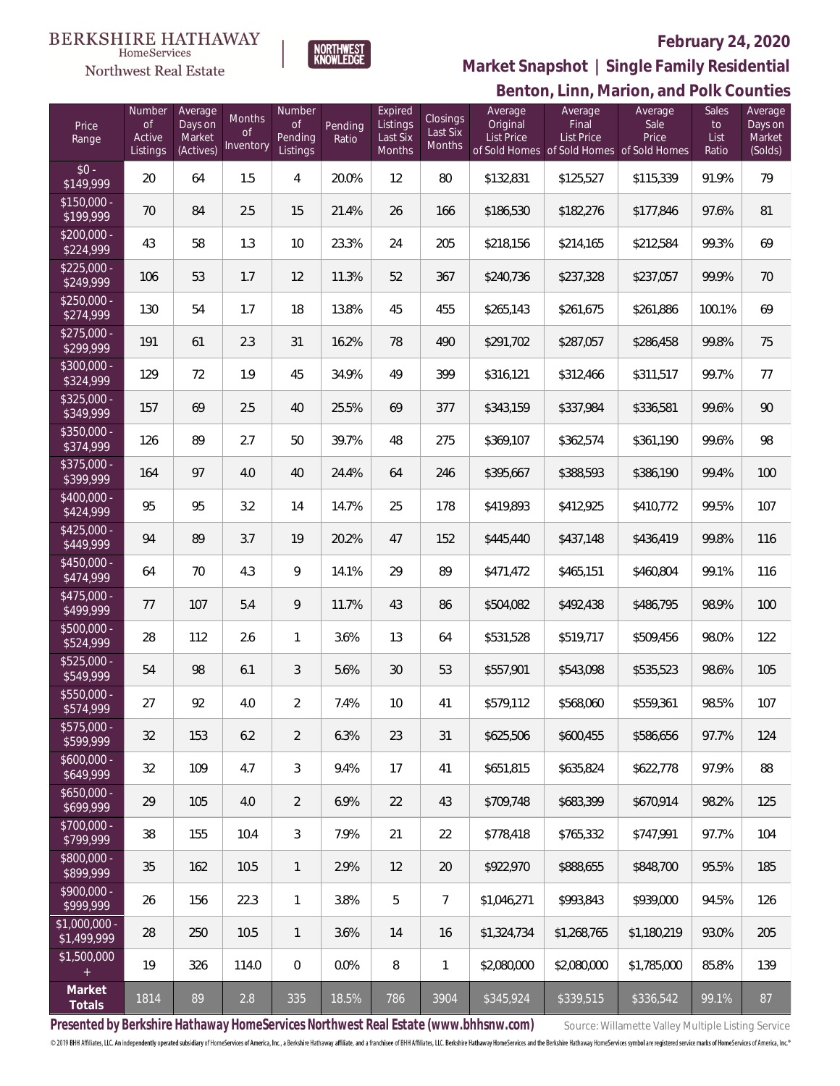Northwest Real Estate



#### **February 24, 2020**

**Benton, Linn, Marion, and Polk Counties Market Snapshot | Single Family Residential**

| Price<br>Range             | Number<br>0f<br>Active<br>Listings | Average<br>Days on<br>Market<br>(Actives) | Months<br>0f<br>Inventory | Number<br><b>of</b><br>Pending<br>Listings | Pending<br>Ratio | Expired<br>Listings<br>Last Six<br>Months | Closings<br>Last Six<br><b>Months</b> | Average<br>Original<br><b>List Price</b> | Average<br>Final<br><b>List Price</b><br>of Sold Homes of Sold Homes of Sold Homes | Average<br>Sale<br>Price | <b>Sales</b><br>to<br>List<br>Ratio | Average<br>Days on<br>Market<br>(Solds) |
|----------------------------|------------------------------------|-------------------------------------------|---------------------------|--------------------------------------------|------------------|-------------------------------------------|---------------------------------------|------------------------------------------|------------------------------------------------------------------------------------|--------------------------|-------------------------------------|-----------------------------------------|
| $$0 -$<br>\$149,999        | 20                                 | 64                                        | 1.5                       | 4                                          | 20.0%            | 12                                        | 80                                    | \$132,831                                | \$125,527                                                                          | \$115,339                | 91.9%                               | 79                                      |
| $$150,000 -$<br>\$199,999  | 70                                 | 84                                        | 2.5                       | 15                                         | 21.4%            | 26                                        | 166                                   | \$186,530                                | \$182,276                                                                          | \$177,846                | 97.6%                               | 81                                      |
| $$200,000 -$<br>\$224,999  | 43                                 | 58                                        | 1.3                       | 10                                         | 23.3%            | 24                                        | 205                                   | \$218,156                                | \$214,165                                                                          | \$212,584                | 99.3%                               | 69                                      |
| $$225,000 -$<br>\$249,999  | 106                                | 53                                        | 1.7                       | 12                                         | 11.3%            | 52                                        | 367                                   | \$240,736                                | \$237,328                                                                          | \$237,057                | 99.9%                               | 70                                      |
| $$250,000 -$<br>\$274,999  | 130                                | 54                                        | 1.7                       | 18                                         | 13.8%            | 45                                        | 455                                   | \$265,143                                | \$261,675                                                                          | \$261,886                | 100.1%                              | 69                                      |
| $$275,000 -$<br>\$299,999  | 191                                | 61                                        | 2.3                       | 31                                         | 16.2%            | 78                                        | 490                                   | \$291,702                                | \$287,057                                                                          | \$286,458                | 99.8%                               | 75                                      |
| $$300,000 -$<br>\$324,999  | 129                                | 72                                        | 1.9                       | 45                                         | 34.9%            | 49                                        | 399                                   | \$316,121                                | \$312,466                                                                          | \$311,517                | 99.7%                               | 77                                      |
| $$325,000 -$<br>\$349,999  | 157                                | 69                                        | 2.5                       | 40                                         | 25.5%            | 69                                        | 377                                   | \$343,159                                | \$337,984                                                                          | \$336,581                | 99.6%                               | 90                                      |
| $$350,000 -$<br>\$374,999  | 126                                | 89                                        | 2.7                       | 50                                         | 39.7%            | 48                                        | 275                                   | \$369,107                                | \$362,574                                                                          | \$361,190                | 99.6%                               | 98                                      |
| $$375,000 -$<br>\$399,999  | 164                                | 97                                        | 4.0                       | 40                                         | 24.4%            | 64                                        | 246                                   | \$395,667                                | \$388,593                                                                          | \$386,190                | 99.4%                               | 100                                     |
| $$400,000 -$<br>\$424,999  | 95                                 | 95                                        | 3.2                       | 14                                         | 14.7%            | 25                                        | 178                                   | \$419,893                                | \$412,925                                                                          | \$410,772                | 99.5%                               | 107                                     |
| $$425,000 -$<br>\$449,999  | 94                                 | 89                                        | 3.7                       | 19                                         | 20.2%            | 47                                        | 152                                   | \$445,440                                | \$437,148                                                                          | \$436,419                | 99.8%                               | 116                                     |
| $$450.000 -$<br>\$474,999  | 64                                 | 70                                        | 4.3                       | 9                                          | 14.1%            | 29                                        | 89                                    | \$471,472                                | \$465,151                                                                          | \$460,804                | 99.1%                               | 116                                     |
| $$475,000 -$<br>\$499,999  | 77                                 | 107                                       | 5.4                       | 9                                          | 11.7%            | 43                                        | 86                                    | \$504,082                                | \$492,438                                                                          | \$486,795                | 98.9%                               | 100                                     |
| $$500,000 -$<br>\$524,999  | 28                                 | 112                                       | 2.6                       | $\mathbf{1}$                               | 3.6%             | 13                                        | 64                                    | \$531,528                                | \$519,717                                                                          | \$509,456                | 98.0%                               | 122                                     |
| $$525,000 -$<br>\$549,999  | 54                                 | 98                                        | 6.1                       | 3                                          | 5.6%             | 30                                        | 53                                    | \$557,901                                | \$543,098                                                                          | \$535,523                | 98.6%                               | 105                                     |
| \$550,000 -<br>\$574,999   | 27                                 | 92                                        | 4.0                       | $\overline{2}$                             | 7.4%             | 10                                        | 41                                    | \$579,112                                | \$568,060                                                                          | \$559,361                | 98.5%                               | 107                                     |
| $$575.000 -$<br>\$599,999  | 32                                 | 153                                       | 6.2                       | $\overline{2}$                             | 6.3%             | 23                                        | 31                                    | \$625.506                                | \$600,455                                                                          | \$586,656                | 97.7%                               | 124                                     |
| $$600.000 -$<br>\$649,999  | 32                                 | 109                                       | 4.7                       | 3                                          | 9.4%             | 17                                        | 41                                    | \$651,815                                | \$635.824                                                                          | \$622,778                | 97.9%                               | 88                                      |
| $$650,000 -$<br>\$699,999  | 29                                 | 105                                       | 4.0                       | $\overline{2}$                             | 6.9%             | 22                                        | 43                                    | \$709.748                                | \$683,399                                                                          | \$670,914                | 98.2%                               | 125                                     |
| $$700,000 -$<br>\$799,999  | 38                                 | 155                                       | 10.4                      | 3                                          | 7.9%             | 21                                        | 22                                    | \$778,418                                | \$765.332                                                                          | \$747,991                | 97.7%                               | 104                                     |
| \$800,000 -<br>\$899,999   | 35                                 | 162                                       | 10.5                      | $\mathbf{1}$                               | 2.9%             | 12                                        | 20                                    | \$922,970                                | \$888,655                                                                          | \$848,700                | 95.5%                               | 185                                     |
| $$900,000 -$<br>\$999,999  | 26                                 | 156                                       | 22.3                      | $\mathbf{1}$                               | 3.8%             | 5                                         | $\overline{7}$                        | \$1,046,271                              | \$993,843                                                                          | \$939,000                | 94.5%                               | 126                                     |
| \$1,000,000<br>\$1,499,999 | 28                                 | 250                                       | 10.5                      | $\mathbf{1}$                               | 3.6%             | 14                                        | 16                                    | \$1,324,734                              | \$1,268,765                                                                        | \$1,180,219              | 93.0%                               | 205                                     |
| \$1,500,000<br>$+$         | 19                                 | 326                                       | 114.0                     | $\mathbf{0}$                               | 0.0%             | 8                                         | 1                                     | \$2,080,000                              | \$2,080,000                                                                        | \$1,785,000              | 85.8%                               | 139                                     |
| Market<br>Totals           | 1814                               | 89                                        | 2.8                       | 335                                        | 18.5%            | 786                                       | 3904                                  | \$345,924                                | \$339,515                                                                          | \$336,542                | 99.1%                               | 87                                      |

Presented by Berkshire Hathaway HomeServices Northwest Real Estate (www.bhhsnw.com) source: Willamette Valley Multiple Listing Service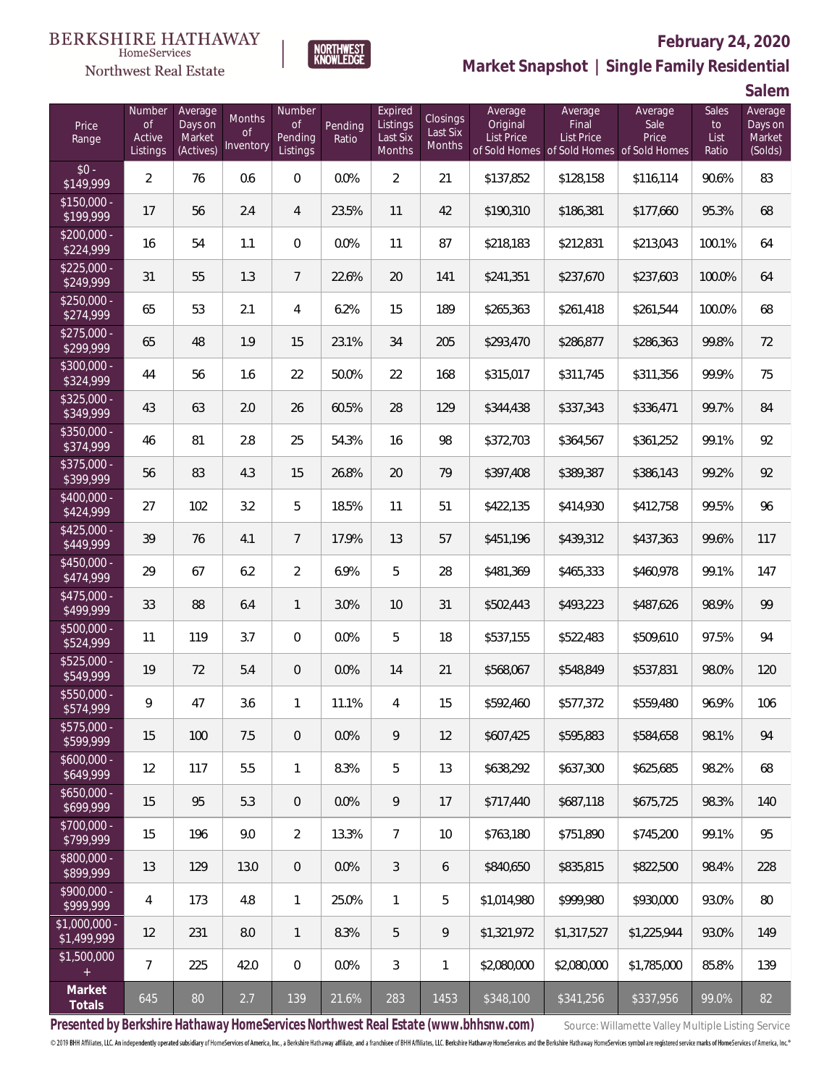

#### **February 24, 2020**



**Market Snapshot | Single Family Residential**

**Salem**

| Price<br>Range                | Number<br><b>of</b><br>Active<br>Listings | Average<br>Days on<br>Market<br>(Actives) | <b>Months</b><br><b>of</b><br>Inventory | Number<br><b>of</b><br>Pending<br>Listings | Pending<br>Ratio | Expired<br>Listings<br>Last Six<br>Months | Closings<br>Last Six<br><b>Months</b> | Average<br>Original<br>List Price | Average<br>Final<br>List Price<br>of Sold Homes of Sold Homes of Sold Homes | Average<br>Sale<br>Price | Sales<br>to<br>List<br>Ratio | Average<br>Days on<br>Market<br>(Solds) |
|-------------------------------|-------------------------------------------|-------------------------------------------|-----------------------------------------|--------------------------------------------|------------------|-------------------------------------------|---------------------------------------|-----------------------------------|-----------------------------------------------------------------------------|--------------------------|------------------------------|-----------------------------------------|
| $$0 -$<br>\$149,999           | $\overline{2}$                            | 76                                        | 0.6                                     | $\boldsymbol{0}$                           | 0.0%             | $\overline{2}$                            | 21                                    | \$137,852                         | \$128,158                                                                   | \$116,114                | 90.6%                        | 83                                      |
| $$150,000 -$<br>\$199,999     | 17                                        | 56                                        | 2.4                                     | 4                                          | 23.5%            | 11                                        | 42                                    | \$190,310                         | \$186,381                                                                   | \$177,660                | 95.3%                        | 68                                      |
| $$200,000 -$<br>\$224,999     | 16                                        | 54                                        | 1.1                                     | $\mathbf 0$                                | 0.0%             | 11                                        | 87                                    | \$218,183                         | \$212,831                                                                   | \$213,043                | 100.1%                       | 64                                      |
| $$225,000 -$<br>\$249,999     | 31                                        | 55                                        | 1.3                                     | $\overline{7}$                             | 22.6%            | 20                                        | 141                                   | \$241,351                         | \$237,670                                                                   | \$237,603                | 100.0%                       | 64                                      |
| $$250,000 -$<br>\$274,999     | 65                                        | 53                                        | 2.1                                     | 4                                          | 6.2%             | 15                                        | 189                                   | \$265,363                         | \$261,418                                                                   | \$261,544                | 100.0%                       | 68                                      |
| $$275,000 -$<br>\$299,999     | 65                                        | 48                                        | 1.9                                     | 15                                         | 23.1%            | 34                                        | 205                                   | \$293,470                         | \$286,877                                                                   | \$286,363                | 99.8%                        | 72                                      |
| $$300,000 -$<br>\$324,999     | 44                                        | 56                                        | 1.6                                     | 22                                         | 50.0%            | 22                                        | 168                                   | \$315,017                         | \$311,745                                                                   | \$311,356                | 99.9%                        | 75                                      |
| $$325,000 -$<br>\$349,999     | 43                                        | 63                                        | 2.0                                     | 26                                         | 60.5%            | 28                                        | 129                                   | \$344,438                         | \$337,343                                                                   | \$336,471                | 99.7%                        | 84                                      |
| $$350,000 -$<br>\$374,999     | 46                                        | 81                                        | 2.8                                     | 25                                         | 54.3%            | 16                                        | 98                                    | \$372,703                         | \$364,567                                                                   | \$361,252                | 99.1%                        | 92                                      |
| $$375,000 -$<br>\$399,999     | 56                                        | 83                                        | 4.3                                     | 15                                         | 26.8%            | 20                                        | 79                                    | \$397,408                         | \$389,387                                                                   | \$386,143                | 99.2%                        | 92                                      |
| $$400,000 -$<br>\$424,999     | 27                                        | 102                                       | 3.2                                     | 5                                          | 18.5%            | 11                                        | 51                                    | \$422,135                         | \$414,930                                                                   | \$412,758                | 99.5%                        | 96                                      |
| $$425,000 -$<br>\$449,999     | 39                                        | 76                                        | 4.1                                     | $\overline{7}$                             | 17.9%            | 13                                        | 57                                    | \$451,196                         | \$439,312                                                                   | \$437,363                | 99.6%                        | 117                                     |
| $$450,000 -$<br>\$474,999     | 29                                        | 67                                        | 6.2                                     | $\overline{2}$                             | 6.9%             | 5                                         | 28                                    | \$481,369                         | \$465,333                                                                   | \$460,978                | 99.1%                        | 147                                     |
| \$475,000 -<br>\$499,999      | 33                                        | 88                                        | 6.4                                     | $\mathbf{1}$                               | 3.0%             | 10                                        | 31                                    | \$502,443                         | \$493,223                                                                   | \$487,626                | 98.9%                        | 99                                      |
| \$500,000 -<br>\$524,999      | 11                                        | 119                                       | 3.7                                     | $\boldsymbol{0}$                           | 0.0%             | 5                                         | 18                                    | \$537,155                         | \$522,483                                                                   | \$509,610                | 97.5%                        | 94                                      |
| $$525,000 -$<br>\$549,999     | 19                                        | 72                                        | 5.4                                     | $\mathbf 0$                                | 0.0%             | 14                                        | 21                                    | \$568,067                         | \$548,849                                                                   | \$537,831                | 98.0%                        | 120                                     |
| \$550,000 -<br>\$574,999      | 9                                         | 47                                        | 3.6                                     | $\mathbf{1}$                               | 11.1%            | $\overline{4}$                            | 15                                    | \$592,460                         | \$577,372                                                                   | \$559,480                | 96.9%                        | 106                                     |
| $$575,000 -$<br>\$599,999     | 15                                        | 100                                       | 7.5                                     | $\overline{0}$                             | 0.0%             | 9                                         | 12                                    | \$607,425                         | \$595,883                                                                   | \$584,658                | 98.1%                        | 94                                      |
| $$600,000 -$<br>\$649,999     | 12                                        | 117                                       | 5.5                                     | $\mathbf{1}$                               | 8.3%             | 5                                         | 13                                    | \$638,292                         | \$637,300                                                                   | \$625,685                | 98.2%                        | 68                                      |
| $$650,000 -$<br>\$699,999     | 15                                        | 95                                        | 5.3                                     | $\mathbf 0$                                | 0.0%             | 9                                         | 17                                    | \$717,440                         | \$687,118                                                                   | \$675,725                | 98.3%                        | 140                                     |
| $$700,000 -$<br>\$799,999     | 15                                        | 196                                       | 9.0                                     | $\overline{2}$                             | 13.3%            | $\overline{7}$                            | 10                                    | \$763,180                         | \$751,890                                                                   | \$745,200                | 99.1%                        | 95                                      |
| \$800,000 -<br>\$899,999      | 13                                        | 129                                       | 13.0                                    | $\overline{0}$                             | 0.0%             | $\mathfrak{Z}$                            | 6                                     | \$840,650                         | \$835,815                                                                   | \$822,500                | 98.4%                        | 228                                     |
| $$900,000 -$<br>\$999,999     | 4                                         | 173                                       | 4.8                                     | $\mathbf{1}$                               | 25.0%            | $\mathbf{1}$                              | 5                                     | \$1,014,980                       | \$999,980                                                                   | \$930,000                | 93.0%                        | 80                                      |
| $$1,000,000 -$<br>\$1,499,999 | 12                                        | 231                                       | 8.0                                     | $\mathbf{1}$                               | 8.3%             | 5                                         | 9                                     | \$1,321,972                       | \$1,317,527                                                                 | \$1,225,944              | 93.0%                        | 149                                     |
| \$1,500,000<br>$+$            | $\overline{7}$                            | 225                                       | 42.0                                    | $\boldsymbol{0}$                           | 0.0%             | 3                                         | 1                                     | \$2,080,000                       | \$2,080,000                                                                 | \$1,785,000              | 85.8%                        | 139                                     |
| Market<br>Totals              | 645                                       | 80                                        | 2.7                                     | 139                                        | 21.6%            | 283                                       | 1453                                  | \$348,100                         | \$341,256                                                                   | \$337,956                | 99.0%                        | 82                                      |

Presented by Berkshire Hathaway HomeServices Northwest Real Estate (www.bhhsnw.com) source: Willamette Valley Multiple Listing Service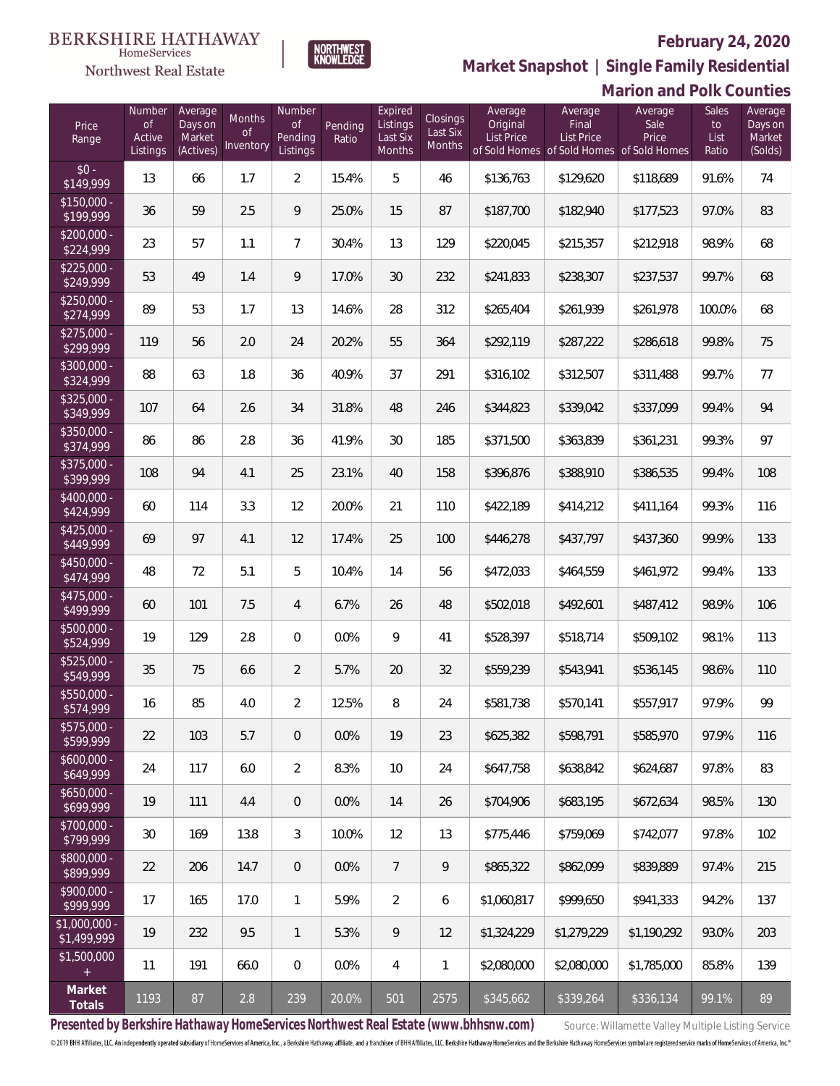**Marion and Polk Counties**



**Market Snapshot | Single Family Residential**

#### NORTHWEST<br>KNOWLEDGE  $\label{lem:sevices} \textsc{Home} \textsc{Service} \textsc{s}$ Northwest Real Estate Number Average Number Expired

| Price<br>Range                | Number<br><b>of</b><br>Active<br>Listings | Average<br>Days on<br>Market<br>(Actives) | <b>Months</b><br>0f<br>Inventory | Number<br><b>of</b><br>Pending<br>Listings | Pending<br>Ratio | Expired<br>Listings<br>Last Six<br>Months | Closings<br>Last Six<br>Months | Average<br>Original<br><b>List Price</b> | Average<br>Final<br><b>List Price</b><br>of Sold Homes of Sold Homes of Sold Homes | Average<br>Sale<br>Price | <b>Sales</b><br>to<br>List<br>Ratio | Average<br>Days on<br>Market<br>(Solds) |
|-------------------------------|-------------------------------------------|-------------------------------------------|----------------------------------|--------------------------------------------|------------------|-------------------------------------------|--------------------------------|------------------------------------------|------------------------------------------------------------------------------------|--------------------------|-------------------------------------|-----------------------------------------|
| $$0 -$<br>\$149,999           | 13                                        | 66                                        | 1.7                              | $\overline{2}$                             | 15.4%            | 5                                         | 46                             | \$136,763                                | \$129,620                                                                          | \$118,689                | 91.6%                               | 74                                      |
| $$150,000 -$<br>\$199,999     | 36                                        | 59                                        | 2.5                              | 9                                          | 25.0%            | 15                                        | 87                             | \$187,700                                | \$182,940                                                                          | \$177,523                | 97.0%                               | 83                                      |
| $$200,000 -$<br>\$224,999     | 23                                        | 57                                        | 1.1                              | $\overline{7}$                             | 30.4%            | 13                                        | 129                            | \$220,045                                | \$215,357                                                                          | \$212,918                | 98.9%                               | 68                                      |
| $$225,000 -$<br>\$249,999     | 53                                        | 49                                        | 1.4                              | 9                                          | 17.0%            | 30                                        | 232                            | \$241,833                                | \$238,307                                                                          | \$237,537                | 99.7%                               | 68                                      |
| $$250,000 -$<br>\$274,999     | 89                                        | 53                                        | 1.7                              | 13                                         | 14.6%            | 28                                        | 312                            | \$265,404                                | \$261,939                                                                          | \$261,978                | 100.0%                              | 68                                      |
| $$275,000 -$<br>\$299,999     | 119                                       | 56                                        | 2.0                              | 24                                         | 20.2%            | 55                                        | 364                            | \$292,119                                | \$287,222                                                                          | \$286,618                | 99.8%                               | 75                                      |
| $$300,000 -$<br>\$324,999     | 88                                        | 63                                        | 1.8                              | 36                                         | 40.9%            | 37                                        | 291                            | \$316,102                                | \$312,507                                                                          | \$311,488                | 99.7%                               | 77                                      |
| $$325,000 -$<br>\$349,999     | 107                                       | 64                                        | 2.6                              | 34                                         | 31.8%            | 48                                        | 246                            | \$344,823                                | \$339,042                                                                          | \$337,099                | 99.4%                               | 94                                      |
| \$350,000 -<br>\$374,999      | 86                                        | 86                                        | 2.8                              | 36                                         | 41.9%            | 30                                        | 185                            | \$371,500                                | \$363,839                                                                          | \$361,231                | 99.3%                               | 97                                      |
| \$375,000 -<br>\$399,999      | 108                                       | 94                                        | 4.1                              | 25                                         | 23.1%            | 40                                        | 158                            | \$396,876                                | \$388,910                                                                          | \$386,535                | 99.4%                               | 108                                     |
| \$400,000 -<br>\$424,999      | 60                                        | 114                                       | 3.3                              | 12                                         | 20.0%            | 21                                        | 110                            | \$422,189                                | \$414,212                                                                          | \$411,164                | 99.3%                               | 116                                     |
| $$425,000 -$<br>\$449,999     | 69                                        | 97                                        | 4.1                              | 12                                         | 17.4%            | 25                                        | 100                            | \$446,278                                | \$437,797                                                                          | \$437,360                | 99.9%                               | 133                                     |
| $$450,000 -$<br>\$474,999     | 48                                        | 72                                        | 5.1                              | 5                                          | 10.4%            | 14                                        | 56                             | \$472,033                                | \$464,559                                                                          | \$461,972                | 99.4%                               | 133                                     |
| $$475,000 -$<br>\$499,999     | 60                                        | 101                                       | 7.5                              | $\overline{4}$                             | 6.7%             | 26                                        | 48                             | \$502,018                                | \$492,601                                                                          | \$487,412                | 98.9%                               | 106                                     |
| \$500,000 -<br>\$524,999      | 19                                        | 129                                       | 2.8                              | $\Omega$                                   | 0.0%             | 9                                         | 41                             | \$528,397                                | \$518,714                                                                          | \$509,102                | 98.1%                               | 113                                     |
| \$525,000 -<br>\$549,999      | 35                                        | 75                                        | 6.6                              | 2                                          | 5.7%             | 20                                        | 32                             | \$559,239                                | \$543,941                                                                          | \$536,145                | 98.6%                               | 110                                     |
| \$550,000 -<br>\$574,999      | 16                                        | 85                                        | 4.0                              | $\overline{2}$                             | 12.5%            | 8                                         | 24                             | \$581,738                                | \$570,141                                                                          | \$557,917                | 97.9%                               | 99                                      |
| \$575,000 -<br>\$599,999      | 22                                        | 103                                       | 5.7                              | $\overline{0}$                             | 0.0%             | 19                                        | 23                             | \$625,382                                | \$598,791                                                                          | \$585,970                | 97.9%                               | 116                                     |
| $$600,000 -$<br>\$649,999     | 24                                        | 117                                       | 6.0                              | $\overline{2}$                             | 8.3%             | 10                                        | 24                             | \$647,758                                | \$638,842                                                                          | \$624,687                | 97.8%                               | 83                                      |
| $$650,000 -$<br>\$699,999     | 19                                        | 111                                       | 4.4                              | $\overline{0}$                             | 0.0%             | 14                                        | 26                             | \$704,906                                | \$683,195                                                                          | \$672,634                | 98.5%                               | 130                                     |
| $$700,000 -$<br>\$799,999     | $30\,$                                    | 169                                       | 13.8                             | 3                                          | 10.0%            | 12                                        | 13                             | \$775,446                                | \$759,069                                                                          | \$742,077                | 97.8%                               | 102                                     |
| \$800,000 -<br>\$899,999      | 22                                        | 206                                       | 14.7                             | $\overline{0}$                             | 0.0%             | $\overline{7}$                            | 9                              | \$865,322                                | \$862,099                                                                          | \$839,889                | 97.4%                               | 215                                     |
| $$900,000 -$<br>\$999,999     | 17                                        | 165                                       | 17.0                             | $\mathbf{1}$                               | 5.9%             | $\overline{2}$                            | 6                              | \$1,060,817                              | \$999,650                                                                          | \$941,333                | 94.2%                               | 137                                     |
| $$1,000,000$ -<br>\$1,499,999 | 19                                        | 232                                       | 9.5                              | $\mathbf{1}$                               | 5.3%             | 9                                         | 12                             | \$1,324,229                              | \$1,279,229                                                                        | \$1,190,292              | 93.0%                               | 203                                     |
| \$1,500,000<br>$+$            | 11                                        | 191                                       | 66.0                             | $\,0\,$                                    | 0.0%             | 4                                         | 1                              | \$2,080,000                              | \$2,080,000                                                                        | \$1,785,000              | 85.8%                               | 139                                     |
| Market<br>Totals              | 1193                                      | 87                                        | 2.8                              | 239                                        | 20.0%            | 501                                       | 2575                           | \$345,662                                | \$339,264                                                                          | \$336,134                | 99.1%                               | 89                                      |

Presented by Berkshire Hathaway HomeServices Northwest Real Estate (www.bhhsnw.com) source: Willamette Valley Multiple Listing Service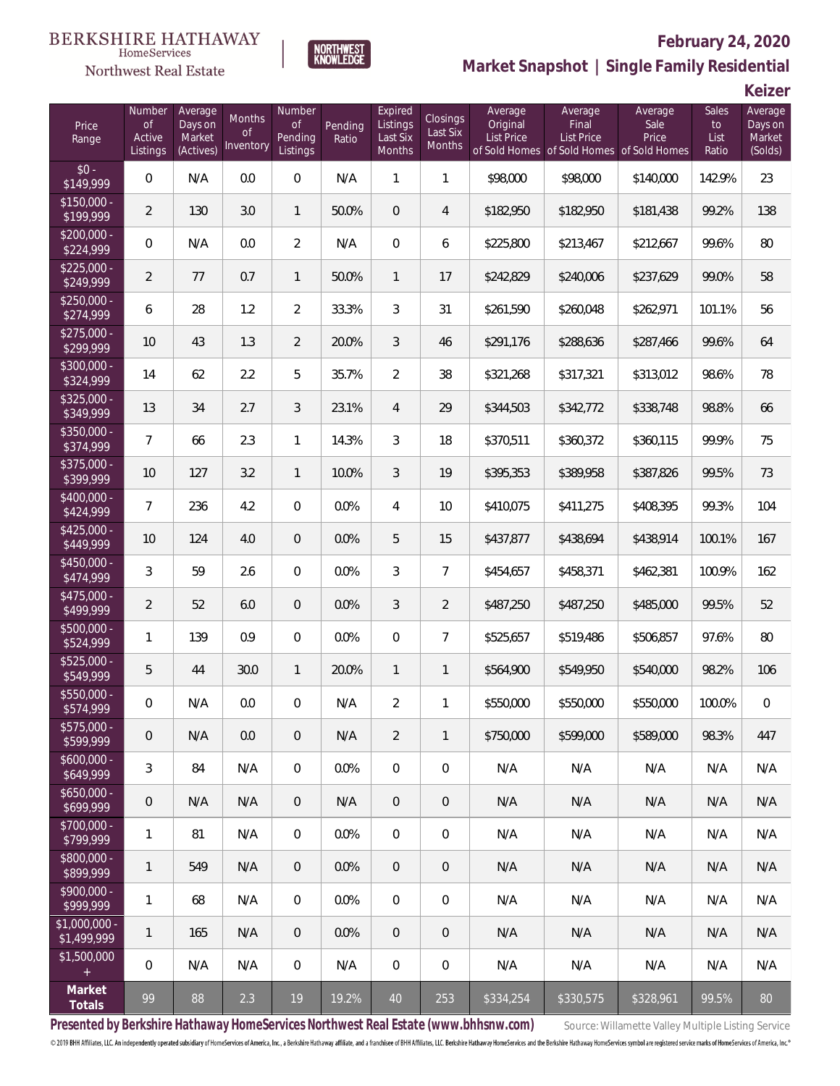



### **February 24, 2020**

**Market Snapshot | Single Family Residential**

**Keizer**

| Price<br>Range               | Number<br><b>of</b><br>Active<br>Listings | Average<br>Days on<br>Market<br>(Actives) | <b>Months</b><br><sub>of</sub><br>Inventory | Number<br><b>of</b><br>Pending<br>Listings | Pending<br>Ratio | Expired<br>Listings<br>Last Six<br>Months | Closings<br>Last Six<br><b>Months</b> | Average<br>Original<br>List Price | Average<br>Final<br>List Price<br>of Sold Homes of Sold Homes of Sold Homes | Average<br>Sale<br>Price | Sales<br>to<br>List<br>Ratio | Average<br>Days on<br>Market<br>(Solds) |
|------------------------------|-------------------------------------------|-------------------------------------------|---------------------------------------------|--------------------------------------------|------------------|-------------------------------------------|---------------------------------------|-----------------------------------|-----------------------------------------------------------------------------|--------------------------|------------------------------|-----------------------------------------|
| $$0 -$<br>\$149,999          | $\mathbf 0$                               | N/A                                       | 0.0                                         | $\overline{0}$                             | N/A              | $\mathbf{1}$                              | $\mathbf{1}$                          | \$98,000                          | \$98,000                                                                    | \$140,000                | 142.9%                       | 23                                      |
| $$150,000 -$<br>\$199,999    | $\overline{2}$                            | 130                                       | 3.0                                         | $\mathbf{1}$                               | 50.0%            | $\mathbf 0$                               | 4                                     | \$182,950                         | \$182,950                                                                   | \$181,438                | 99.2%                        | 138                                     |
| $$200,000 -$<br>\$224,999    | $\mathbf 0$                               | N/A                                       | 0.0                                         | $\overline{2}$                             | N/A              | $\boldsymbol{0}$                          | 6                                     | \$225,800                         | \$213,467                                                                   | \$212,667                | 99.6%                        | 80                                      |
| $$225,000 -$<br>\$249,999    | $\overline{2}$                            | 77                                        | 0.7                                         | $\mathbf{1}$                               | 50.0%            | $\mathbf{1}$                              | 17                                    | \$242,829                         | \$240,006                                                                   | \$237,629                | 99.0%                        | 58                                      |
| $$250,000 -$<br>\$274,999    | 6                                         | 28                                        | 1.2                                         | $\overline{2}$                             | 33.3%            | $\mathfrak{Z}$                            | 31                                    | \$261,590                         | \$260,048                                                                   | \$262,971                | 101.1%                       | 56                                      |
| $$275,000 -$<br>\$299,999    | 10                                        | 43                                        | 1.3                                         | $\overline{2}$                             | 20.0%            | $\mathfrak{Z}$                            | 46                                    | \$291,176                         | \$288,636                                                                   | \$287,466                | 99.6%                        | 64                                      |
| $$300,000 -$<br>\$324,999    | 14                                        | 62                                        | 2.2                                         | 5                                          | 35.7%            | $\overline{2}$                            | 38                                    | \$321,268                         | \$317,321                                                                   | \$313,012                | 98.6%                        | 78                                      |
| $$325,000 -$<br>\$349,999    | 13                                        | 34                                        | 2.7                                         | 3                                          | 23.1%            | $\overline{4}$                            | 29                                    | \$344,503                         | \$342,772                                                                   | \$338,748                | 98.8%                        | 66                                      |
| $$350,000 -$<br>\$374,999    | $\overline{7}$                            | 66                                        | 2.3                                         | $\mathbf{1}$                               | 14.3%            | $\mathfrak{Z}$                            | 18                                    | \$370,511                         | \$360,372                                                                   | \$360,115                | 99.9%                        | 75                                      |
| \$375,000 -<br>\$399,999     | 10                                        | 127                                       | 3.2                                         | $\mathbf{1}$                               | 10.0%            | 3                                         | 19                                    | \$395,353                         | \$389,958                                                                   | \$387,826                | 99.5%                        | 73                                      |
| \$400,000 -<br>\$424,999     | $\overline{7}$                            | 236                                       | 4.2                                         | $\boldsymbol{0}$                           | 0.0%             | $\overline{4}$                            | 10                                    | \$410,075                         | \$411,275                                                                   | \$408,395                | 99.3%                        | 104                                     |
| \$425,000 -<br>\$449,999     | 10                                        | 124                                       | 4.0                                         | $\boldsymbol{0}$                           | 0.0%             | 5                                         | 15                                    | \$437,877                         | \$438,694                                                                   | \$438,914                | 100.1%                       | 167                                     |
| $$450,000 -$<br>\$474,999    | 3                                         | 59                                        | 2.6                                         | $\boldsymbol{0}$                           | 0.0%             | $\mathfrak{Z}$                            | $\overline{7}$                        | \$454,657                         | \$458,371                                                                   | \$462,381                | 100.9%                       | 162                                     |
| $$475,000 -$<br>\$499,999    | $\overline{2}$                            | 52                                        | 6.0                                         | $\boldsymbol{0}$                           | 0.0%             | $\mathfrak{Z}$                            | $\overline{2}$                        | \$487,250                         | \$487,250                                                                   | \$485,000                | 99.5%                        | 52                                      |
| \$500,000 -<br>\$524,999     | $\mathbf{1}$                              | 139                                       | 0.9                                         | $\overline{0}$                             | 0.0%             | $\overline{0}$                            | $\overline{7}$                        | \$525,657                         | \$519,486                                                                   | \$506,857                | 97.6%                        | 80                                      |
| \$525,000 -<br>\$549,999     | 5                                         | 44                                        | 30.0                                        | 1                                          | 20.0%            | $\mathbf{1}$                              | $\mathbf{1}$                          | \$564,900                         | \$549,950                                                                   | \$540,000                | 98.2%                        | 106                                     |
| \$550,000 -<br>\$574,999     | $\boldsymbol{0}$                          | N/A                                       | 0.0                                         | $\mathbf{0}$                               | N/A              | $\sqrt{2}$                                | 1                                     | \$550,000                         | \$550,000                                                                   | \$550,000                | 100.0%                       | $\boldsymbol{0}$                        |
| \$575,000 -<br>\$599,999     | $\,0\,$                                   | N/A                                       | 0.0                                         | $\mathbf 0$                                | N/A              | $\overline{2}$                            | $\mathbf{1}$                          | \$750,000                         | \$599,000                                                                   | \$589,000                | 98.3%                        | 447                                     |
| $$600,000 -$<br>\$649,999    | 3                                         | 84                                        | N/A                                         | $\mathbf 0$                                | 0.0%             | $\overline{0}$                            | $\boldsymbol{0}$                      | N/A                               | N/A                                                                         | N/A                      | N/A                          | N/A                                     |
| $$650,000 -$<br>\$699,999    | $\mathbf 0$                               | N/A                                       | N/A                                         | $\overline{0}$                             | N/A              | $\sqrt{a}$                                | $\overline{0}$                        | N/A                               | N/A                                                                         | N/A                      | N/A                          | N/A                                     |
| \$700,000 -<br>\$799,999     | $\mathbf{1}$                              | 81                                        | N/A                                         | $\mathbf 0$                                | 0.0%             | $\overline{0}$                            | $\boldsymbol{0}$                      | N/A                               | N/A                                                                         | N/A                      | N/A                          | N/A                                     |
| \$800,000 -<br>\$899,999     | $\mathbf{1}$                              | 549                                       | N/A                                         | $\overline{0}$                             | 0.0%             | $\sqrt{a}$                                | $\overline{0}$                        | N/A                               | N/A                                                                         | N/A                      | N/A                          | N/A                                     |
| \$900,000 -<br>\$999,999     | $\mathbf{1}$                              | 68                                        | N/A                                         | $\boldsymbol{0}$                           | 0.0%             | $\overline{0}$                            | $\boldsymbol{0}$                      | N/A                               | N/A                                                                         | N/A                      | N/A                          | N/A                                     |
| \$1,000,000 -<br>\$1,499,999 | $\mathbf{1}$                              | 165                                       | N/A                                         | $\overline{0}$                             | 0.0%             | $\theta$                                  | $\overline{0}$                        | N/A                               | N/A                                                                         | N/A                      | N/A                          | N/A                                     |
| \$1,500,000<br>$\pm$         | $\mathbf 0$                               | N/A                                       | N/A                                         | $\boldsymbol{0}$                           | N/A              | $\mathbf 0$                               | $\boldsymbol{0}$                      | N/A                               | N/A                                                                         | N/A                      | N/A                          | N/A                                     |
| Market<br><b>Totals</b>      | 99                                        | 88                                        | 2.3                                         | 19                                         | 19.2%            | 40                                        | 253                                   | \$334,254                         | \$330,575                                                                   | \$328,961                | 99.5%                        | 80                                      |

Presented by Berkshire Hathaway HomeServices Northwest Real Estate (www.bhhsnw.com) source: Willamette Valley Multiple Listing Service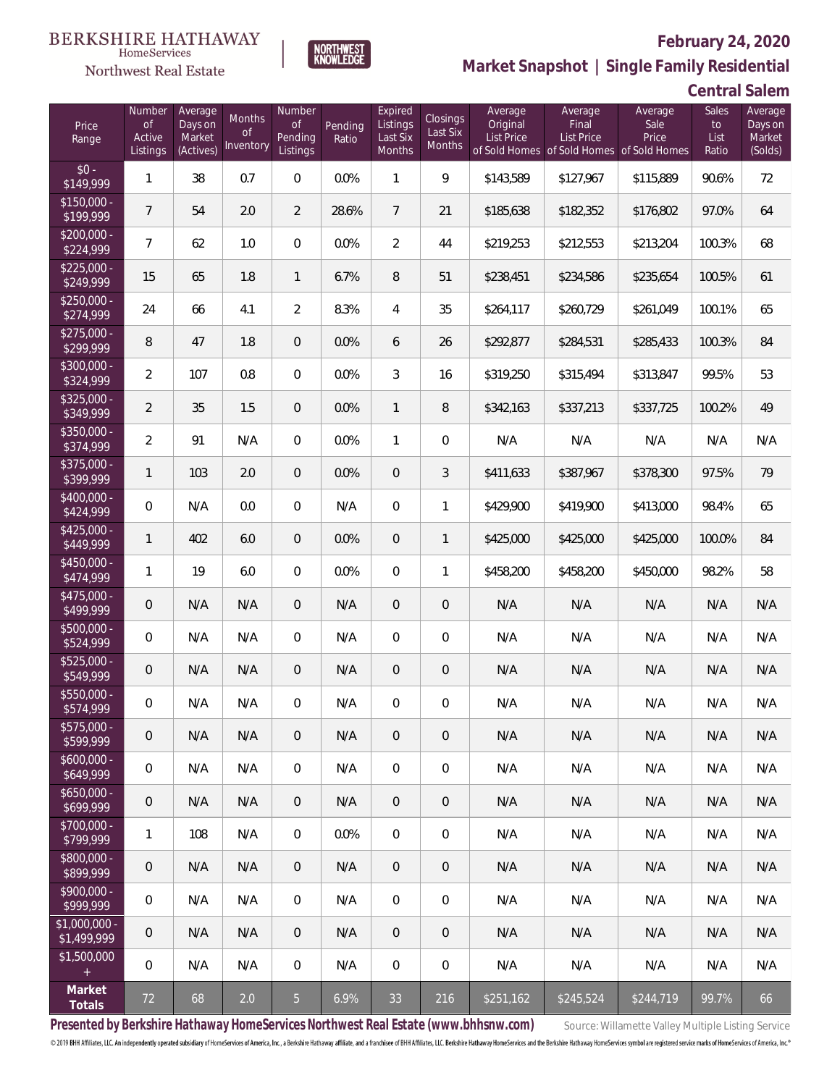

### **February 24, 2020**

**Market Snapshot | Single Family Residential**

| <b>Central Salem</b> |  |
|----------------------|--|
|----------------------|--|

| Price<br>Range                | Number<br><b>of</b><br>Active<br>Listings | Average<br>Days on<br>Market<br>(Actives) | Months<br><b>of</b><br>Inventory | Number<br><b>of</b><br>Pending<br>Listings | Pending<br>Ratio | Expired<br>Listings<br>Last Six<br>Months | Closings<br>Last Six<br>Months | Average<br>Original<br>List Price | Average<br>Final<br><b>List Price</b><br>of Sold Homes of Sold Homes | Average<br>Sale<br>Price<br>of Sold Homes | Sales<br>to<br>List<br>Ratio | Average<br>Days on<br>Market<br>(Solds) |
|-------------------------------|-------------------------------------------|-------------------------------------------|----------------------------------|--------------------------------------------|------------------|-------------------------------------------|--------------------------------|-----------------------------------|----------------------------------------------------------------------|-------------------------------------------|------------------------------|-----------------------------------------|
| $$0 -$<br>\$149,999           | $\mathbf{1}$                              | 38                                        | 0.7                              | $\overline{0}$                             | 0.0%             | 1                                         | 9                              | \$143,589                         | \$127,967                                                            | \$115,889                                 | 90.6%                        | 72                                      |
| $$150,000 -$<br>\$199,999     | $\overline{7}$                            | 54                                        | 2.0                              | $\overline{2}$                             | 28.6%            | $7\overline{ }$                           | 21                             | \$185,638                         | \$182,352                                                            | \$176,802                                 | 97.0%                        | 64                                      |
| $$200,000 -$<br>\$224,999     | $\overline{7}$                            | 62                                        | 1.0                              | $\overline{0}$                             | 0.0%             | $\overline{2}$                            | 44                             | \$219,253                         | \$212,553                                                            | \$213,204                                 | 100.3%                       | 68                                      |
| $$225,000 -$<br>\$249,999     | 15                                        | 65                                        | 1.8                              | 1                                          | 6.7%             | 8                                         | 51                             | \$238,451                         | \$234,586                                                            | \$235,654                                 | 100.5%                       | 61                                      |
| $$250,000 -$<br>\$274,999     | 24                                        | 66                                        | 4.1                              | $\overline{2}$                             | 8.3%             | 4                                         | 35                             | \$264,117                         | \$260,729                                                            | \$261,049                                 | 100.1%                       | 65                                      |
| $$275,000 -$<br>\$299,999     | 8                                         | 47                                        | 1.8                              | $\overline{0}$                             | 0.0%             | 6                                         | 26                             | \$292,877                         | \$284,531                                                            | \$285,433                                 | 100.3%                       | 84                                      |
| $$300,000 -$<br>\$324,999     | $\overline{2}$                            | 107                                       | 0.8                              | $\overline{0}$                             | 0.0%             | 3                                         | 16                             | \$319,250                         | \$315,494                                                            | \$313,847                                 | 99.5%                        | 53                                      |
| $$325,000 -$<br>\$349,999     | $\overline{2}$                            | 35                                        | 1.5                              | $\overline{0}$                             | 0.0%             | $\mathbf{1}$                              | 8                              | \$342,163                         | \$337,213                                                            | \$337,725                                 | 100.2%                       | 49                                      |
| $$350,000 -$<br>\$374,999     | $\overline{2}$                            | 91                                        | N/A                              | $\overline{0}$                             | 0.0%             | $\mathbf{1}$                              | $\mathbf 0$                    | N/A                               | N/A                                                                  | N/A                                       | N/A                          | N/A                                     |
| $$375,000 -$<br>\$399,999     | $\mathbf{1}$                              | 103                                       | 2.0                              | $\overline{0}$                             | 0.0%             | $\overline{0}$                            | 3                              | \$411,633                         | \$387,967                                                            | \$378,300                                 | 97.5%                        | 79                                      |
| \$400,000 -<br>\$424,999      | 0                                         | N/A                                       | 0.0                              | $\overline{0}$                             | N/A              | $\mathbf{0}$                              | $\mathbf{1}$                   | \$429,900                         | \$419,900                                                            | \$413,000                                 | 98.4%                        | 65                                      |
| $$425,000 -$<br>\$449,999     | $\mathbf{1}$                              | 402                                       | 6.0                              | $\overline{0}$                             | 0.0%             | $\overline{0}$                            | $\mathbf{1}$                   | \$425,000                         | \$425,000                                                            | \$425,000                                 | 100.0%                       | 84                                      |
| $$450,000 -$<br>\$474,999     | $\mathbf{1}$                              | 19                                        | 6.0                              | $\overline{0}$                             | 0.0%             | $\overline{0}$                            | $\mathbf{1}$                   | \$458,200                         | \$458,200                                                            | \$450,000                                 | 98.2%                        | 58                                      |
| \$475,000 -<br>\$499,999      | $\overline{0}$                            | N/A                                       | N/A                              | $\overline{0}$                             | N/A              | $\overline{0}$                            | $\overline{0}$                 | N/A                               | N/A                                                                  | N/A                                       | N/A                          | N/A                                     |
| $$500,000 -$<br>\$524,999     | 0                                         | N/A                                       | N/A                              | $\overline{0}$                             | N/A              | $\overline{0}$                            | $\mathbf 0$                    | N/A                               | N/A                                                                  | N/A                                       | N/A                          | N/A                                     |
| $$525,000 -$<br>\$549,999     | $\overline{0}$                            | N/A                                       | N/A                              | $\overline{0}$                             | N/A              | $\overline{0}$                            | $\theta$                       | N/A                               | N/A                                                                  | N/A                                       | N/A                          | N/A                                     |
| \$550,000 -<br>\$574,999      | 0                                         | N/A                                       | N/A                              | 0                                          | N/A              | $\overline{0}$                            | $\mathbf 0$                    | N/A                               | N/A                                                                  | N/A                                       | N/A                          | N/A                                     |
| $$575,000 -$<br>\$599,999     | $\mathbf 0$                               | N/A                                       | N/A                              | 0                                          | N/A              | 0                                         | $\overline{0}$                 | N/A                               | N/A                                                                  | N/A                                       | N/A                          | N/A                                     |
| $$600,000 -$<br>\$649,999     | 0                                         | N/A                                       | N/A                              | $\overline{0}$                             | N/A              | $\mathbf 0$                               | $\boldsymbol{0}$               | N/A                               | N/A                                                                  | N/A                                       | N/A                          | N/A                                     |
| $$650,000 -$<br>\$699,999     | $\mathsf{O}\xspace$                       | N/A                                       | N/A                              | $\overline{0}$                             | N/A              | $\mathbf{0}$                              | $\overline{0}$                 | N/A                               | N/A                                                                  | N/A                                       | N/A                          | N/A                                     |
| \$700,000 -<br>\$799,999      | 1                                         | 108                                       | N/A                              | 0                                          | 0.0%             | $\mathbf 0$                               | $\boldsymbol{0}$               | N/A                               | N/A                                                                  | N/A                                       | N/A                          | N/A                                     |
| \$800,000 -<br>\$899,999      | 0                                         | N/A                                       | N/A                              | $\overline{0}$                             | N/A              | $\mathbf{0}$                              | $\overline{0}$                 | N/A                               | N/A                                                                  | N/A                                       | N/A                          | N/A                                     |
| \$900,000 -<br>\$999,999      | 0                                         | N/A                                       | N/A                              | 0                                          | N/A              | $\mathbf 0$                               | 0                              | N/A                               | N/A                                                                  | N/A                                       | N/A                          | N/A                                     |
| $$1,000,000$ -<br>\$1,499,999 | 0                                         | N/A                                       | N/A                              | $\overline{0}$                             | N/A              | $\mathbf{0}$                              | $\overline{0}$                 | N/A                               | N/A                                                                  | N/A                                       | N/A                          | N/A                                     |
| \$1,500,000<br>$\pm$          | 0                                         | N/A                                       | N/A                              | $\overline{0}$                             | N/A              | $\mathbf 0$                               | $\mathbf 0$                    | N/A                               | N/A                                                                  | N/A                                       | N/A                          | N/A                                     |
| Market<br>Totals              | 72                                        | 68                                        | 2.0                              | 5 <sub>1</sub>                             | 6.9%             | 33                                        | 216                            | \$251,162                         | \$245,524                                                            | \$244,719                                 | 99.7%                        | 66                                      |

NORTHWEST<br>KNOWLEDGE

Presented by Berkshire Hathaway HomeServices Northwest Real Estate (www.bhhsnw.com) source: Willamette Valley Multiple Listing Service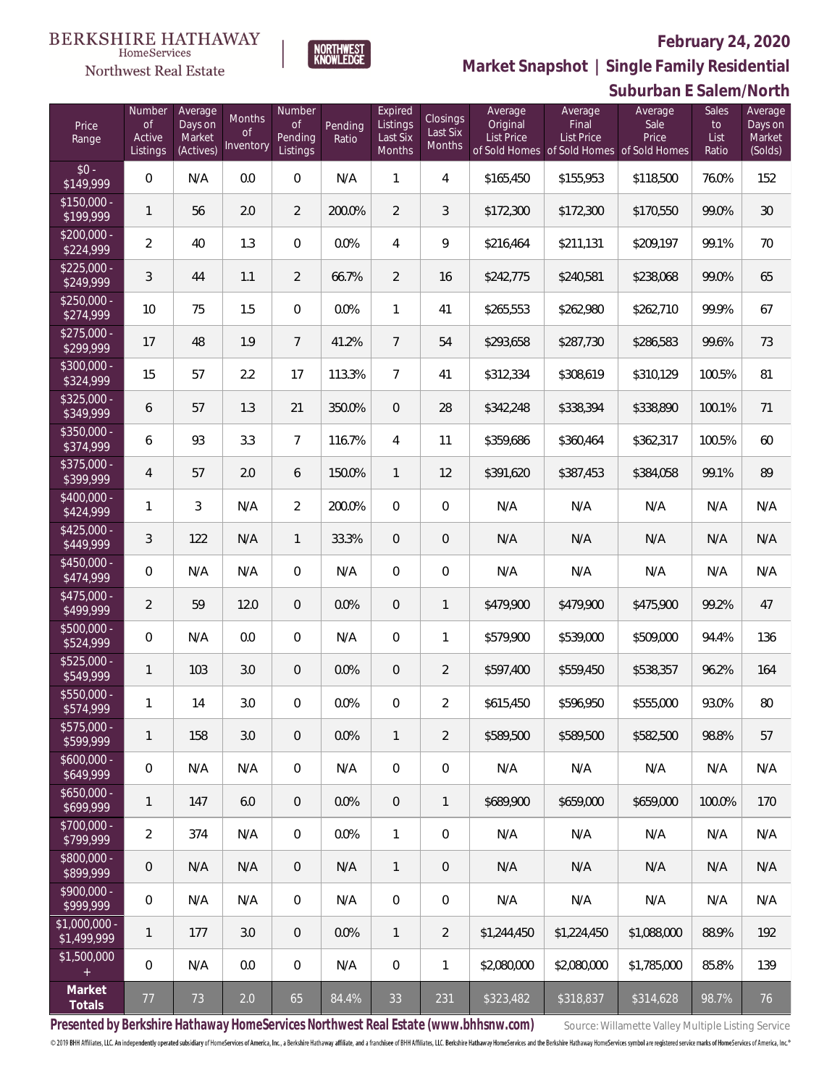**Suburban E Salem/North**



**Market Snapshot | Single Family Residential**

#### **BERKSHIRE HATHAWAY** NORTHWEST<br>KNOWLFDGF  $\label{lem:sevices} \textsc{Home} \textsc{Service} \textsc{s}$

Northwest Real Estate

| Price<br>Range               | Number<br><b>of</b><br>Active<br>Listings | Average<br>Days on<br>Market<br>(Actives) | Months<br>Οf<br>Inventory | Number<br><b>of</b><br>Pending<br>Listings | Pending<br>Ratio | Expired<br>Listings<br>Last Six<br>Months | Closings<br>Last Six<br>Months | Average<br>Original<br><b>List Price</b> | Average<br>Final<br><b>List Price</b><br>of Sold Homes of Sold Homes of Sold Homes | Average<br>Sale<br>Price | Sales<br>to<br>List<br>Ratio | Average<br>Days on<br>Market<br>(Solds) |
|------------------------------|-------------------------------------------|-------------------------------------------|---------------------------|--------------------------------------------|------------------|-------------------------------------------|--------------------------------|------------------------------------------|------------------------------------------------------------------------------------|--------------------------|------------------------------|-----------------------------------------|
| $$0 -$<br>$\sqrt{$149,999}$  | $\overline{0}$                            | N/A                                       | 0.0                       | 0                                          | N/A              | $\mathbf{1}$                              | 4                              | \$165,450                                | \$155,953                                                                          | \$118,500                | 76.0%                        | 152                                     |
| $$150,000 -$<br>\$199,999    | $\mathbf{1}$                              | 56                                        | 2.0                       | $\overline{2}$                             | 200.0%           | $\overline{2}$                            | 3                              | \$172,300                                | \$172,300                                                                          | \$170,550                | 99.0%                        | 30                                      |
| $$200,000 -$<br>\$224,999    | $\overline{2}$                            | 40                                        | 1.3                       | 0                                          | 0.0%             | $\overline{4}$                            | 9                              | \$216,464                                | \$211,131                                                                          | \$209,197                | 99.1%                        | 70                                      |
| $$225,000 -$<br>\$249,999    | 3                                         | 44                                        | 1.1                       | $\overline{2}$                             | 66.7%            | $\overline{2}$                            | 16                             | \$242,775                                | \$240,581                                                                          | \$238,068                | 99.0%                        | 65                                      |
| $$250,000 -$<br>\$274,999    | 10                                        | 75                                        | 1.5                       | $\overline{0}$                             | 0.0%             | $\mathbf{1}$                              | 41                             | \$265,553                                | \$262,980                                                                          | \$262,710                | 99.9%                        | 67                                      |
| $$275,000 -$<br>\$299,999    | 17                                        | 48                                        | 1.9                       | $\overline{7}$                             | 41.2%            | $7\overline{ }$                           | 54                             | \$293,658                                | \$287,730                                                                          | \$286,583                | 99.6%                        | 73                                      |
| $$300,000 -$<br>\$324,999    | 15                                        | 57                                        | 2.2                       | 17                                         | 113.3%           | $\overline{7}$                            | 41                             | \$312,334                                | \$308,619                                                                          | \$310,129                | 100.5%                       | 81                                      |
| $$325,000 -$<br>\$349,999    | 6                                         | 57                                        | 1.3                       | 21                                         | 350.0%           | $\overline{0}$                            | 28                             | \$342,248                                | \$338,394                                                                          | \$338,890                | 100.1%                       | 71                                      |
| $$350,000 -$<br>\$374,999    | 6                                         | 93                                        | 3.3                       | $\overline{7}$                             | 116.7%           | $\overline{4}$                            | 11                             | \$359,686                                | \$360,464                                                                          | \$362,317                | 100.5%                       | 60                                      |
| $$375,000 -$<br>\$399,999    | $\overline{4}$                            | 57                                        | 2.0                       | 6                                          | 150.0%           | $\mathbf{1}$                              | 12                             | \$391,620                                | \$387,453                                                                          | \$384,058                | 99.1%                        | 89                                      |
| $$400,000 -$<br>\$424,999    | $\mathbf{1}$                              | 3                                         | N/A                       | $\overline{2}$                             | 200.0%           | $\mathbf 0$                               | $\mathbf 0$                    | N/A                                      | N/A                                                                                | N/A                      | N/A                          | N/A                                     |
| \$425,000 -<br>\$449,999     | $\sqrt{3}$                                | 122                                       | N/A                       | $\mathbf{1}$                               | 33.3%            | $\overline{0}$                            | 0                              | N/A                                      | N/A                                                                                | N/A                      | N/A                          | N/A                                     |
| $$450,000 -$<br>\$474,999    | $\boldsymbol{0}$                          | N/A                                       | N/A                       | $\overline{0}$                             | N/A              | $\mathbf 0$                               | $\mathbf 0$                    | N/A                                      | N/A                                                                                | N/A                      | N/A                          | N/A                                     |
| $$475,000 -$<br>\$499,999    | $\overline{a}$                            | 59                                        | 12.0                      | $\overline{0}$                             | 0.0%             | $\overline{0}$                            | $\mathbf{1}$                   | \$479,900                                | \$479,900                                                                          | \$475,900                | 99.2%                        | 47                                      |
| $$500,000 -$<br>\$524,999    | $\boldsymbol{0}$                          | N/A                                       | 0.0                       | $\overline{0}$                             | N/A              | $\overline{0}$                            | $\mathbf{1}$                   | \$579,900                                | \$539,000                                                                          | \$509,000                | 94.4%                        | 136                                     |
| $$525,000 -$<br>\$549,999    | 1                                         | 103                                       | 3.0                       | $\overline{0}$                             | 0.0%             | $\overline{0}$                            | $\overline{2}$                 | \$597,400                                | \$559,450                                                                          | \$538,357                | 96.2%                        | 164                                     |
| $$550,000 -$<br>\$574,999    | $\mathbf{1}$                              | 14                                        | 3.0                       | 0                                          | 0.0%             | 0                                         | $\overline{2}$                 | \$615,450                                | \$596,950                                                                          | \$555,000                | 93.0%                        | 80                                      |
| $$575,000 -$<br>\$599,999    | $\mathbf{1}$                              | 158                                       | 3.0                       | 0                                          | 0.0%             | $\mathbf{1}$                              | $\overline{2}$                 | \$589,500                                | \$589,500                                                                          | \$582,500                | 98.8%                        | 57                                      |
| $$600,000 -$<br>\$649,999    | $\boldsymbol{0}$                          | N/A                                       | N/A                       | $\mathbf 0$                                | N/A              | $\mathbf 0$                               | $\,0\,$                        | N/A                                      | N/A                                                                                | N/A                      | N/A                          | N/A                                     |
| $$650,000 -$<br>\$699,999    | $\mathbf{1}$                              | 147                                       | 6.0                       | $\overline{0}$                             | 0.0%             | $\overline{0}$                            | $\mathbf{1}$                   | \$689,900                                | \$659,000                                                                          | \$659,000                | 100.0%                       | 170                                     |
| \$700,000 -<br>\$799,999     | $\overline{2}$                            | 374                                       | N/A                       | $\overline{0}$                             | 0.0%             | $\mathbf{1}$                              | $\mathbf 0$                    | N/A                                      | N/A                                                                                | N/A                      | N/A                          | N/A                                     |
| \$800,000 -<br>\$899,999     | $\boldsymbol{0}$                          | N/A                                       | N/A                       | $\overline{0}$                             | N/A              | $\mathbf{1}$                              | $\,0\,$                        | N/A                                      | N/A                                                                                | N/A                      | N/A                          | N/A                                     |
| \$900,000 -<br>\$999,999     | 0                                         | N/A                                       | N/A                       | $\overline{0}$                             | N/A              | $\mathbf 0$                               | $\,0\,$                        | N/A                                      | N/A                                                                                | N/A                      | N/A                          | N/A                                     |
| \$1,000,000 -<br>\$1,499,999 | $\mathbf{1}$                              | 177                                       | 3.0                       | $\overline{0}$                             | 0.0%             | $\mathbf{1}$                              | $\overline{2}$                 | \$1,244,450                              | \$1,224,450                                                                        | \$1,088,000              | 88.9%                        | 192                                     |
| \$1,500,000<br>$\pm$         | 0                                         | N/A                                       | 0.0                       | $\overline{0}$                             | N/A              | $\mathbf 0$                               | $\mathbf{1}$                   | \$2,080,000                              | \$2,080,000                                                                        | \$1,785,000              | 85.8%                        | 139                                     |
| Market<br>Totals             | 77                                        | 73                                        | 2.0                       | 65                                         | 84.4%            | 33                                        | 231                            | \$323,482                                | \$318,837                                                                          | \$314,628                | 98.7%                        | 76                                      |

Presented by Berkshire Hathaway HomeServices Northwest Real Estate (www.bhhsnw.com) source: Willamette Valley Multiple Listing Service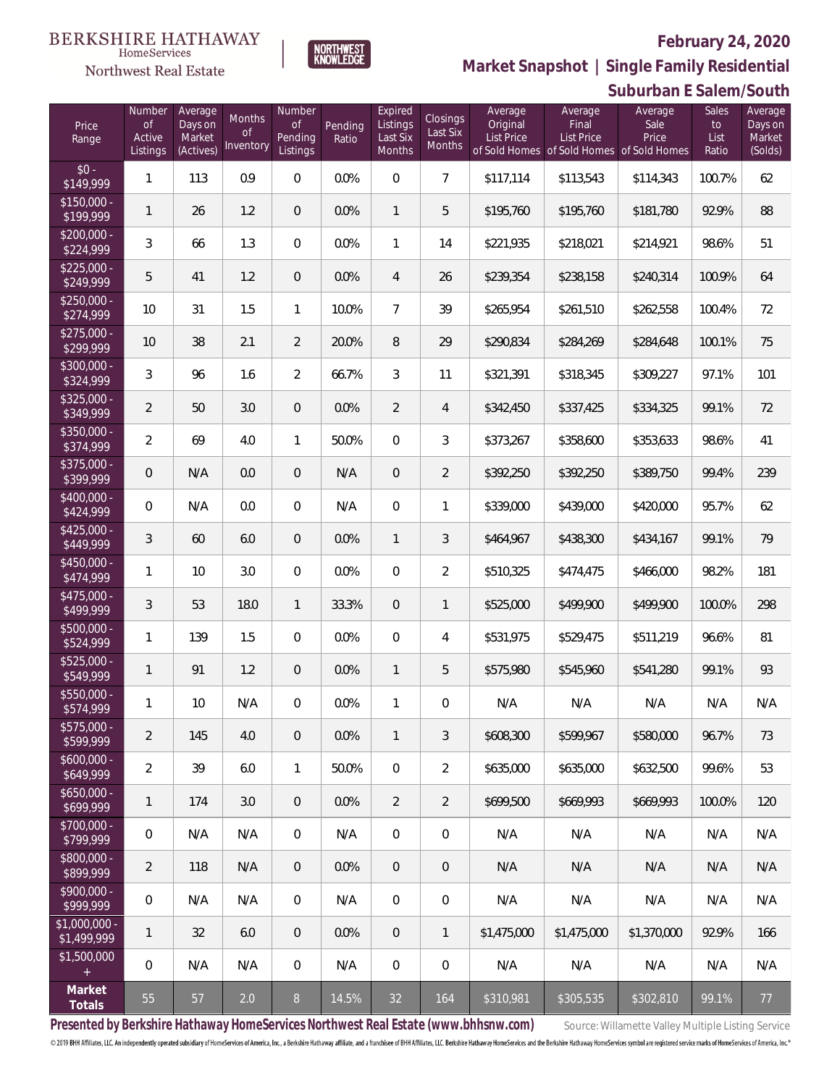

# **February 24, 2020**



**NORTHWEST**<br>KNOWLEDGE

| Price<br>Range               | Number<br><b>of</b><br>Active<br>Listings | Average<br>Days on<br>Market<br>(Actives) | Months<br><b>of</b><br>Inventory | Number<br><b>of</b><br>Pending<br>Listings | Pending<br>Ratio | Expired<br>Listings<br>Last Six<br>Months | <b>Closings</b><br>Last Six<br>Months | Average<br>Original<br><b>List Price</b> | Average<br>Final<br>List Price<br>of Sold Homes of Sold Homes of Sold Homes | Average<br>Sale<br>Price | Sales<br>to<br>List<br>Ratio | Average<br>Days on<br>Market<br>(Solds) |
|------------------------------|-------------------------------------------|-------------------------------------------|----------------------------------|--------------------------------------------|------------------|-------------------------------------------|---------------------------------------|------------------------------------------|-----------------------------------------------------------------------------|--------------------------|------------------------------|-----------------------------------------|
| $$0 -$<br>\$149,999          | 1                                         | 113                                       | 0.9                              | $\overline{0}$                             | 0.0%             | $\overline{0}$                            | $\overline{7}$                        | \$117,114                                | \$113,543                                                                   | \$114,343                | 100.7%                       | 62                                      |
| $$150,000 -$<br>\$199,999    | $\mathbf{1}$                              | 26                                        | 1.2                              | $\overline{0}$                             | 0.0%             | $\mathbf{1}$                              | 5                                     | \$195,760                                | \$195,760                                                                   | \$181,780                | 92.9%                        | 88                                      |
| $$200,000 -$<br>\$224,999    | $\overline{3}$                            | 66                                        | 1.3                              | $\overline{0}$                             | 0.0%             | $\mathbf{1}$                              | 14                                    | \$221,935                                | \$218,021                                                                   | \$214,921                | 98.6%                        | 51                                      |
| $$225,000 -$<br>\$249,999    | 5                                         | 41                                        | 1.2                              | $\overline{0}$                             | 0.0%             | $\overline{4}$                            | 26                                    | \$239,354                                | \$238,158                                                                   | \$240,314                | 100.9%                       | 64                                      |
| $$250,000 -$<br>\$274,999    | 10                                        | 31                                        | 1.5                              | $\mathbf{1}$                               | 10.0%            | $\overline{7}$                            | 39                                    | \$265,954                                | \$261,510                                                                   | \$262,558                | 100.4%                       | 72                                      |
| $$275,000 -$<br>\$299,999    | 10                                        | 38                                        | 2.1                              | $\overline{2}$                             | 20.0%            | 8                                         | 29                                    | \$290,834                                | \$284,269                                                                   | \$284,648                | 100.1%                       | 75                                      |
| $$300,000 -$<br>\$324,999    | 3                                         | 96                                        | 1.6                              | $\overline{2}$                             | 66.7%            | 3                                         | 11                                    | \$321,391                                | \$318,345                                                                   | \$309,227                | 97.1%                        | 101                                     |
| $$325,000 -$<br>\$349,999    | $\overline{2}$                            | 50                                        | 3.0                              | $\overline{0}$                             | 0.0%             | $\overline{2}$                            | $\overline{4}$                        | \$342,450                                | \$337,425                                                                   | \$334,325                | 99.1%                        | 72                                      |
| $$350,000 -$<br>\$374,999    | $\overline{a}$                            | 69                                        | 4.0                              | $\mathbf{1}$                               | 50.0%            | $\mathbf 0$                               | 3                                     | \$373,267                                | \$358,600                                                                   | \$353,633                | 98.6%                        | 41                                      |
| $$375,000 -$<br>\$399,999    | 0                                         | N/A                                       | 0.0                              | $\overline{0}$                             | N/A              | $\overline{0}$                            | $\overline{2}$                        | \$392,250                                | \$392,250                                                                   | \$389,750                | 99.4%                        | 239                                     |
| $$400,000 -$<br>\$424,999    | $\overline{0}$                            | N/A                                       | 0.0                              | $\overline{0}$                             | N/A              | $\mathbf 0$                               | $\mathbf{1}$                          | \$339,000                                | \$439,000                                                                   | \$420,000                | 95.7%                        | 62                                      |
| $$425,000 -$<br>\$449,999    | 3                                         | 60                                        | 6.0                              | $\overline{0}$                             | 0.0%             | $\mathbf{1}$                              | 3                                     | \$464,967                                | \$438,300                                                                   | \$434,167                | 99.1%                        | 79                                      |
| $$450,000 -$<br>\$474,999    | 1                                         | 10                                        | 3.0                              | $\overline{0}$                             | 0.0%             | $\mathbf 0$                               | $\overline{2}$                        | \$510,325                                | \$474,475                                                                   | \$466,000                | 98.2%                        | 181                                     |
| $$475,000 -$<br>\$499,999    | 3                                         | 53                                        | 18.0                             | $\mathbf{1}$                               | 33.3%            | $\overline{0}$                            | $\mathbf{1}$                          | \$525,000                                | \$499,900                                                                   | \$499,900                | 100.0%                       | 298                                     |
| $$500,000 -$<br>\$524,999    | 1                                         | 139                                       | 1.5                              | $\overline{0}$                             | 0.0%             | $\mathbf 0$                               | $\overline{4}$                        | \$531,975                                | \$529,475                                                                   | \$511,219                | 96.6%                        | 81                                      |
| \$525,000 -<br>\$549,999     | $\mathbf{1}$                              | 91                                        | 1.2                              | $\overline{0}$                             | 0.0%             | $\mathbf{1}$                              | 5                                     | \$575,980                                | \$545,960                                                                   | \$541,280                | 99.1%                        | 93                                      |
| $$550,000 -$<br>\$574,999    | 1                                         | 10                                        | N/A                              | $\overline{0}$                             | 0.0%             | $\mathbf{1}$                              | 0                                     | N/A                                      | N/A                                                                         | N/A                      | N/A                          | N/A                                     |
| \$575,000 -<br>\$599,999     | $\overline{2}$                            | 145                                       | 4.0                              | $\overline{0}$                             | 0.0%             | $\mathbf{1}$                              | 3                                     | \$608,300                                | \$599,967                                                                   | \$580,000                | 96.7%                        | 73                                      |
| $$600,000 -$<br>\$649,999    | $\overline{2}$                            | 39                                        | 6.0                              | $\mathbf{1}$                               | 50.0%            | $\overline{0}$                            | $\overline{2}$                        | \$635,000                                | \$635,000                                                                   | \$632,500                | 99.6%                        | 53                                      |
| $$650,000 -$<br>\$699,999    | 1                                         | 174                                       | 3.0                              | $\overline{0}$                             | 0.0%             | $\overline{2}$                            | $\overline{2}$                        | \$699,500                                | \$669,993                                                                   | \$669,993                | 100.0%                       | 120                                     |
| $$700,000 -$<br>\$799,999    | $\,0\,$                                   | N/A                                       | N/A                              | $\overline{0}$                             | N/A              | $\mathbf 0$                               | 0                                     | N/A                                      | N/A                                                                         | N/A                      | N/A                          | N/A                                     |
| $$800,000 -$<br>\$899,999    | $\overline{2}$                            | 118                                       | N/A                              | $\overline{0}$                             | 0.0%             | $\overline{0}$                            | 0                                     | N/A                                      | N/A                                                                         | N/A                      | N/A                          | N/A                                     |
| $$900,000 -$<br>\$999,999    | $\,0\,$                                   | N/A                                       | N/A                              | $\mathbf 0$                                | N/A              | $\mathbf 0$                               | $\mathbf 0$                           | N/A                                      | N/A                                                                         | N/A                      | N/A                          | N/A                                     |
| \$1,000,000 -<br>\$1,499,999 | 1                                         | 32                                        | 6.0                              | $\overline{0}$                             | 0.0%             | $\overline{0}$                            | $\mathbf{1}$                          | \$1,475,000                              | \$1,475,000                                                                 | \$1,370,000              | 92.9%                        | 166                                     |
| \$1,500,000<br>$+$           | $\mathbf 0$                               | N/A                                       | N/A                              | $\overline{0}$                             | N/A              | $\overline{0}$                            | 0                                     | N/A                                      | N/A                                                                         | N/A                      | N/A                          | N/A                                     |
| Market<br>Totals             | 55                                        | 57                                        | 2.0                              | $8\,$                                      | 14.5%            | 32                                        | 164                                   | \$310,981                                | \$305,535                                                                   | \$302,810                | 99.1%                        | 77                                      |

Presented by Berkshire Hathaway HomeServices Northwest Real Estate (www.bhhsnw.com) source: Willamette Valley Multiple Listing Service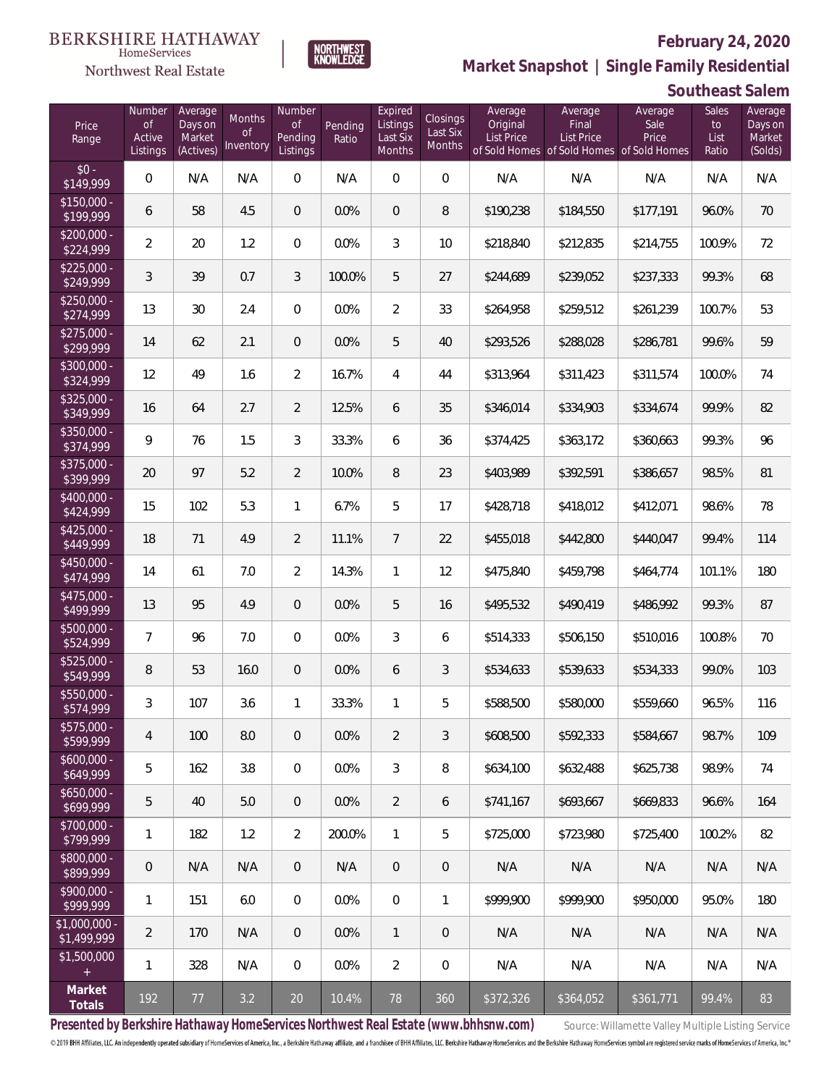

 $\label{lem:sevices} \textsc{Home} \textsc{Service} \textsc{s}$ 

**Market Snapshot | Single Family Residential**

## **Southeast Salem**

| Price<br>Range                | Number<br><b>of</b><br>Active<br>Listings | Average<br>Days on<br>Market<br>(Actives) | Months<br>. of<br>Inventory | Number<br><b>of</b><br>Pending<br>Listings | Pending<br>Ratio | Expired<br>Listings<br>Last Six<br><b>Months</b> | Closings<br>Last Six<br>Months | Average<br>Original<br><b>List Price</b> | Average<br>Final<br><b>List Price</b><br>of Sold Homes of Sold Homes of Sold Homes | Average<br>Sale<br>Price | <b>Sales</b><br>to<br>List<br>Ratio | Average<br>Days on<br>Market<br>(Solds) |
|-------------------------------|-------------------------------------------|-------------------------------------------|-----------------------------|--------------------------------------------|------------------|--------------------------------------------------|--------------------------------|------------------------------------------|------------------------------------------------------------------------------------|--------------------------|-------------------------------------|-----------------------------------------|
| $$0 -$<br>\$149,999           | $\overline{0}$                            | N/A                                       | N/A                         | $\Omega$                                   | N/A              | $\Omega$                                         | $\overline{0}$                 | N/A                                      | N/A                                                                                | N/A                      | N/A                                 | N/A                                     |
| $$150,000 -$<br>\$199,999     | 6                                         | 58                                        | 4.5                         | $\overline{0}$                             | 0.0%             | $\overline{0}$                                   | 8                              | \$190,238                                | \$184,550                                                                          | \$177,191                | 96.0%                               | 70                                      |
| $$200,000 -$<br>\$224,999     | $\overline{2}$                            | 20                                        | 1.2                         | $\mathbf{0}$                               | 0.0%             | 3                                                | 10                             | \$218,840                                | \$212,835                                                                          | \$214,755                | 100.9%                              | 72                                      |
| $$225,000 -$<br>\$249,999     | 3                                         | 39                                        | 0.7                         | 3                                          | 100.0%           | 5                                                | 27                             | \$244,689                                | \$239,052                                                                          | \$237,333                | 99.3%                               | 68                                      |
| $$250,000 -$<br>\$274,999     | 13                                        | 30                                        | 2.4                         | $\mathbf{0}$                               | 0.0%             | $\overline{2}$                                   | 33                             | \$264,958                                | \$259,512                                                                          | \$261,239                | 100.7%                              | 53                                      |
| $$275,000 -$<br>\$299,999     | 14                                        | 62                                        | 2.1                         | $\overline{0}$                             | 0.0%             | 5                                                | 40                             | \$293,526                                | \$288,028                                                                          | \$286,781                | 99.6%                               | 59                                      |
| \$300,000 -<br>\$324,999      | 12                                        | 49                                        | 1.6                         | $\overline{2}$                             | 16.7%            | 4                                                | 44                             | \$313,964                                | \$311,423                                                                          | \$311,574                | 100.0%                              | 74                                      |
| $$325,000 -$<br>\$349,999     | 16                                        | 64                                        | 2.7                         | $\overline{2}$                             | 12.5%            | 6                                                | 35                             | \$346,014                                | \$334,903                                                                          | \$334,674                | 99.9%                               | 82                                      |
| \$350,000 -<br>\$374,999      | 9                                         | 76                                        | 1.5                         | 3                                          | 33.3%            | 6                                                | 36                             | \$374,425                                | \$363,172                                                                          | \$360,663                | 99.3%                               | 96                                      |
| \$375,000 -<br>\$399,999      | 20                                        | 97                                        | 5.2                         | $\overline{2}$                             | 10.0%            | 8                                                | 23                             | \$403,989                                | \$392,591                                                                          | \$386,657                | 98.5%                               | 81                                      |
| \$400,000 -<br>\$424,999      | 15                                        | 102                                       | 5.3                         | $\mathbf{1}$                               | 6.7%             | 5                                                | 17                             | \$428,718                                | \$418,012                                                                          | \$412,071                | 98.6%                               | 78                                      |
| $$425,000 -$<br>\$449,999     | 18                                        | 71                                        | 4.9                         | 2                                          | 11.1%            | $\overline{7}$                                   | 22                             | \$455,018                                | \$442,800                                                                          | \$440,047                | 99.4%                               | 114                                     |
| $$450,000 -$<br>\$474,999     | 14                                        | 61                                        | 7.0                         | $\overline{2}$                             | 14.3%            | $\mathbf{1}$                                     | 12                             | \$475,840                                | \$459,798                                                                          | \$464,774                | 101.1%                              | 180                                     |
| $$475,000 -$<br>\$499,999     | 13                                        | 95                                        | 4.9                         | $\overline{0}$                             | 0.0%             | 5                                                | 16                             | \$495,532                                | \$490,419                                                                          | \$486,992                | 99.3%                               | 87                                      |
| $$500,000 -$<br>\$524,999     | $\overline{7}$                            | 96                                        | 7.0                         | $\mathbf{0}$                               | 0.0%             | 3                                                | 6                              | \$514,333                                | \$506,150                                                                          | \$510,016                | 100.8%                              | 70                                      |
| $$525,000 -$<br>\$549,999     | 8                                         | 53                                        | 16.0                        | $\overline{0}$                             | 0.0%             | 6                                                | 3                              | \$534,633                                | \$539,633                                                                          | \$534,333                | 99.0%                               | 103                                     |
| \$550,000 -<br>\$574,999      | 3                                         | 107                                       | 3.6                         | 1                                          | 33.3%            | 1                                                | 5                              | \$588,500                                | \$580,000                                                                          | \$559,660                | 96.5%                               | 116                                     |
| $$575,000 -$<br>\$599,999     | 4                                         | 100                                       | 8.0                         | $\mathbf 0$                                | $0.0\%$          | $\overline{2}$                                   | 3                              | \$608,500                                | \$592,333                                                                          | \$584,667                | 98.7%                               | 109                                     |
| $$600,000 -$<br>\$649,999     | 5                                         | 162                                       | 3.8                         | $\overline{0}$                             | 0.0%             | 3                                                | 8                              | \$634,100                                | \$632,488                                                                          | \$625,738                | 98.9%                               | 74                                      |
| $$650,000 -$<br>\$699,999     | 5                                         | 40                                        | 5.0                         | $\theta$                                   | $0.0\%$          | $\overline{2}$                                   | 6                              | \$741.167                                | \$693,667                                                                          | \$669,833                | 96.6%                               | 164                                     |
| $$700,000 -$<br>\$799,999     | $\mathbf{1}$                              | 182                                       | 1.2                         | $\overline{2}$                             | 200.0%           | $\mathbf{1}$                                     | 5                              | \$725,000                                | \$723,980                                                                          | \$725,400                | 100.2%                              | 82                                      |
| $$800,000 -$<br>\$899,999     | $\mathbf 0$                               | N/A                                       | N/A                         | $\theta$                                   | N/A              | $\overline{0}$                                   | $\overline{0}$                 | N/A                                      | N/A                                                                                | N/A                      | N/A                                 | N/A                                     |
| $$900,000 -$<br>\$999,999     | $\mathbf{1}$                              | 151                                       | 6.0                         | $\boldsymbol{0}$                           | $0.0\%$          | $\overline{0}$                                   | 1                              | \$999.900                                | \$999.900                                                                          | \$950,000                | 95.0%                               | 180                                     |
| $$1,000,000 -$<br>\$1,499,999 | $\overline{2}$                            | 170                                       | N/A                         | $\theta$                                   | $0.0\%$          | $\mathbf{1}$                                     | $\overline{0}$                 | N/A                                      | N/A                                                                                | N/A                      | N/A                                 | N/A                                     |
| \$1,500,000<br>$+$            | $\mathbf{1}$                              | 328                                       | N/A                         | 0                                          | $0.0\%$          | $\overline{2}$                                   | $\mathbf{0}$                   | N/A                                      | N/A                                                                                | N/A                      | N/A                                 | N/A                                     |
| Market<br>Totals              | 192                                       | 77                                        | 3.2                         | $20\,$                                     | 10.4%            | 78                                               | 360                            | \$372,326                                | \$364,052                                                                          | \$361,771                | 99.4%                               | 83                                      |

Presented by Berkshire Hathaway HomeServices Northwest Real Estate (www.bhhsnw.com) source: Willamette Valley Multiple Listing Service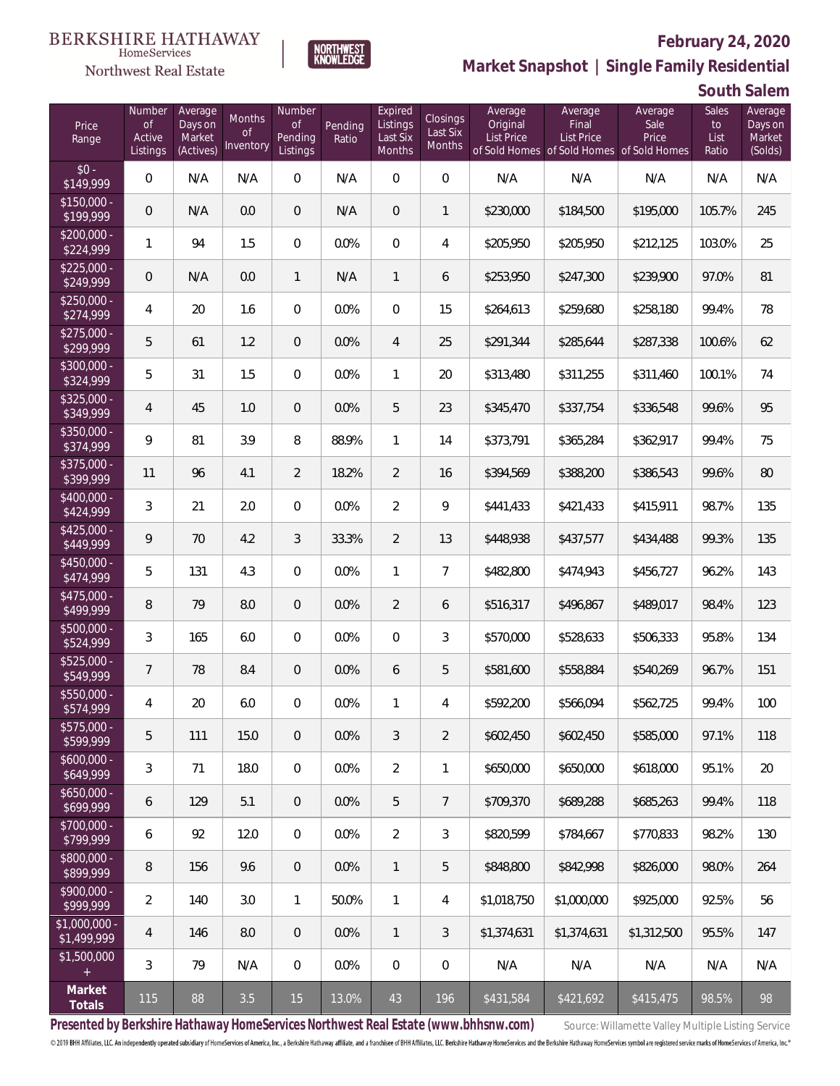

HomeServices

**Market Snapshot | Single Family Residential**

### **South Salem**

| Price<br>Range                | Number<br>of<br>Active<br>Listings | Average<br>Days on<br>Market<br>(Actives) | Months<br>0f<br>Inventory | Number<br>Οf<br>Pending<br>Listings | Pending<br>Ratio | Expired<br>Listings<br>Last Six<br>Months | Closings<br>Last Six<br>Months | Average<br>Original<br><b>List Price</b> | Average<br>Final<br>List Price<br>of Sold Homes of Sold Homes of Sold Homes | Average<br>Sale<br>Price | Sales<br>to<br>List<br>Ratio | Average<br>Days on<br>Market<br>(Solds) |
|-------------------------------|------------------------------------|-------------------------------------------|---------------------------|-------------------------------------|------------------|-------------------------------------------|--------------------------------|------------------------------------------|-----------------------------------------------------------------------------|--------------------------|------------------------------|-----------------------------------------|
| $$0 -$<br>\$149,999           | $\overline{0}$                     | N/A                                       | N/A                       | $\overline{0}$                      | N/A              | $\overline{0}$                            | $\overline{0}$                 | N/A                                      | N/A                                                                         | N/A                      | N/A                          | N/A                                     |
| $$150,000 -$<br>\$199,999     | $\overline{0}$                     | N/A                                       | 0.0                       | $\overline{0}$                      | N/A              | $\overline{0}$                            | $\mathbf{1}$                   | \$230,000                                | \$184,500                                                                   | \$195,000                | 105.7%                       | 245                                     |
| $$200,000 -$<br>\$224,999     | 1                                  | 94                                        | 1.5                       | $\overline{0}$                      | 0.0%             | $\overline{0}$                            | $\overline{4}$                 | \$205,950                                | \$205,950                                                                   | \$212,125                | 103.0%                       | 25                                      |
| $$225,000 -$<br>\$249,999     | $\overline{0}$                     | N/A                                       | 0.0                       | $\mathbf{1}$                        | N/A              | $\mathbf{1}$                              | 6                              | \$253,950                                | \$247,300                                                                   | \$239,900                | 97.0%                        | 81                                      |
| $$250,000 -$<br>\$274,999     | 4                                  | 20                                        | 1.6                       | $\overline{0}$                      | 0.0%             | $\mathbf{0}$                              | 15                             | \$264,613                                | \$259,680                                                                   | \$258,180                | 99.4%                        | 78                                      |
| $$275,000 -$<br>\$299,999     | 5                                  | 61                                        | 1.2                       | $\overline{0}$                      | 0.0%             | $\overline{4}$                            | 25                             | \$291,344                                | \$285,644                                                                   | \$287,338                | 100.6%                       | 62                                      |
| $$300,000 -$<br>\$324,999     | 5                                  | 31                                        | 1.5                       | $\overline{0}$                      | 0.0%             | $\mathbf{1}$                              | 20                             | \$313,480                                | \$311,255                                                                   | \$311,460                | 100.1%                       | 74                                      |
| $$325,000 -$<br>\$349,999     | 4                                  | 45                                        | 1.0                       | $\overline{0}$                      | 0.0%             | 5                                         | 23                             | \$345,470                                | \$337,754                                                                   | \$336,548                | 99.6%                        | 95                                      |
| $$350,000 -$<br>\$374,999     | 9                                  | 81                                        | 3.9                       | 8                                   | 88.9%            | $\mathbf{1}$                              | 14                             | \$373,791                                | \$365,284                                                                   | \$362,917                | 99.4%                        | 75                                      |
| $$375,000 -$<br>\$399,999     | 11                                 | 96                                        | 4.1                       | $\overline{2}$                      | 18.2%            | $\overline{2}$                            | 16                             | \$394,569                                | \$388,200                                                                   | \$386,543                | 99.6%                        | 80                                      |
| $$400,000 -$<br>\$424,999     | 3                                  | 21                                        | 2.0                       | $\overline{0}$                      | 0.0%             | $\overline{2}$                            | 9                              | \$441,433                                | \$421,433                                                                   | \$415,911                | 98.7%                        | 135                                     |
| $$425,000 -$<br>\$449,999     | 9                                  | 70                                        | 4.2                       | 3                                   | 33.3%            | $\overline{2}$                            | 13                             | \$448,938                                | \$437,577                                                                   | \$434,488                | 99.3%                        | 135                                     |
| $$450,000 -$<br>\$474,999     | 5                                  | 131                                       | 4.3                       | $\overline{0}$                      | 0.0%             | $\mathbf{1}$                              | $\overline{7}$                 | \$482,800                                | \$474,943                                                                   | \$456,727                | 96.2%                        | 143                                     |
| $$475,000 -$<br>\$499,999     | 8                                  | 79                                        | 8.0                       | $\overline{0}$                      | 0.0%             | $\overline{2}$                            | 6                              | \$516,317                                | \$496,867                                                                   | \$489,017                | 98.4%                        | 123                                     |
| $$500,000 -$<br>\$524,999     | 3                                  | 165                                       | 6.0                       | $\overline{0}$                      | 0.0%             | $\mathbf{0}$                              | 3                              | \$570,000                                | \$528,633                                                                   | \$506,333                | 95.8%                        | 134                                     |
| $$525,000 -$<br>\$549,999     | 7                                  | 78                                        | 8.4                       | $\overline{0}$                      | 0.0%             | 6                                         | 5                              | \$581,600                                | \$558,884                                                                   | \$540,269                | 96.7%                        | 151                                     |
| \$550,000 -<br>\$574,999      | 4                                  | 20                                        | 6.0                       | $\overline{0}$                      | 0.0%             | 1                                         | 4                              | \$592,200                                | \$566,094                                                                   | \$562,725                | 99.4%                        | 100                                     |
| $$575,000 -$<br>\$599,999     | 5                                  | 111                                       | 15.0                      | $\theta$                            | 0.0%             | 3                                         | 2                              | \$602,450                                | \$602,450                                                                   | \$585,000                | 97.1%                        | 118                                     |
| $$600,000 -$<br>\$649,999     | 3                                  | 71                                        | 18.0                      | 0                                   | 0.0%             | $\overline{2}$                            | 1                              | \$650,000                                | \$650,000                                                                   | \$618,000                | 95.1%                        | 20                                      |
| $$650,000 -$<br>\$699,999     | 6                                  | 129                                       | 5.1                       | $\theta$                            | 0.0%             | 5                                         | $\overline{7}$                 | \$709,370                                | \$689,288                                                                   | \$685,263                | 99.4%                        | 118                                     |
| $$700,000 -$<br>\$799,999     | 6                                  | 92                                        | 12.0                      | $\boldsymbol{0}$                    | 0.0%             | $\overline{2}$                            | 3                              | \$820.599                                | \$784,667                                                                   | \$770,833                | 98.2%                        | 130                                     |
| $$800,000 -$<br>\$899,999     | 8                                  | 156                                       | 9.6                       | $\theta$                            | 0.0%             | $\mathbf{1}$                              | 5                              | \$848,800                                | \$842,998                                                                   | \$826,000                | 98.0%                        | 264                                     |
| $$900,000 -$<br>\$999,999     | $\overline{2}$                     | 140                                       | 3.0                       | $\mathbf{1}$                        | 50.0%            | $\mathbf{1}$                              | 4                              | \$1,018,750                              | \$1,000,000                                                                 | \$925,000                | 92.5%                        | 56                                      |
| $$1,000,000 -$<br>\$1,499,999 | 4                                  | 146                                       | 8.0                       | $\theta$                            | 0.0%             | $\mathbf{1}$                              | 3                              | \$1,374,631                              | \$1,374,631                                                                 | \$1,312,500              | 95.5%                        | 147                                     |
| \$1,500,000<br>$+$            | 3                                  | 79                                        | N/A                       | $\boldsymbol{0}$                    | 0.0%             | 0                                         | $\mathbf 0$                    | N/A                                      | N/A                                                                         | N/A                      | N/A                          | N/A                                     |
| Market<br>Totals              | 115                                | 88                                        | 3.5                       | 15                                  | 13.0%            | 43                                        | 196                            | \$431,584                                | \$421,692                                                                   | \$415,475                | 98.5%                        | 98                                      |

Presented by Berkshire Hathaway HomeServices Northwest Real Estate (www.bhhsnw.com) source: Willamette Valley Multiple Listing Service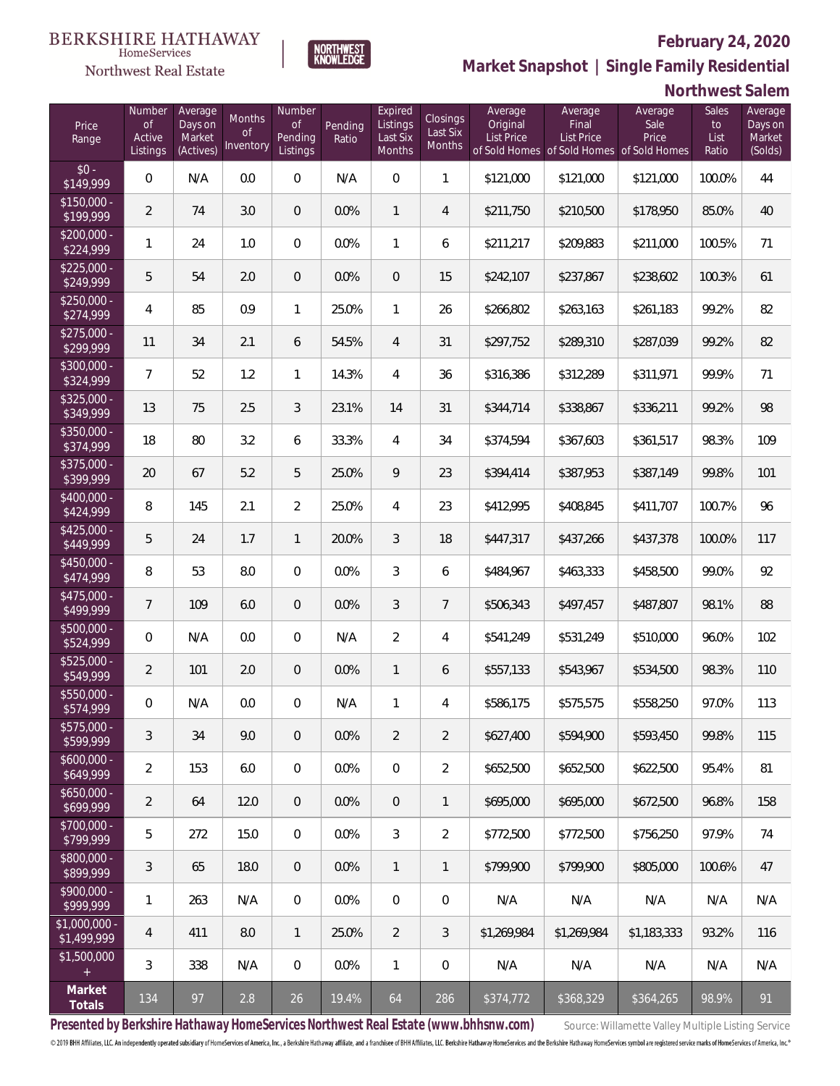

NORTHWEST<br>KNOWLEDGE

Northwest Real Estate

**Market Snapshot | Single Family Residential**

### **Northwest Salem**

| Price<br>Range               | Number<br>of<br>Active<br>Listings | Average<br>Days on<br>Market<br>(Actives) | Months<br>Οf<br>Inventory | Number<br>Οf<br>Pending<br>Listings | Pending<br>Ratio | Expired<br>Listings<br>Last Six<br>Months | Closings<br>Last Six<br>Months | Average<br>Original<br><b>List Price</b> | Average<br>Final<br><b>List Price</b><br>of Sold Homes of Sold Homes of Sold Homes | Average<br>Sale<br>Price | Sales<br>to<br>List<br>Ratio | Average<br>Days on<br>Market<br>(Solds) |
|------------------------------|------------------------------------|-------------------------------------------|---------------------------|-------------------------------------|------------------|-------------------------------------------|--------------------------------|------------------------------------------|------------------------------------------------------------------------------------|--------------------------|------------------------------|-----------------------------------------|
| $$0 -$<br>\$149,999          | $\overline{0}$                     | N/A                                       | 0.0                       | $\overline{0}$                      | N/A              | $\overline{0}$                            | $\mathbf{1}$                   | \$121,000                                | \$121,000                                                                          | \$121,000                | 100.0%                       | 44                                      |
| $$150,000 -$<br>\$199,999    | $\overline{2}$                     | 74                                        | 3.0                       | $\overline{0}$                      | 0.0%             | $\mathbf{1}$                              | $\overline{4}$                 | \$211,750                                | \$210,500                                                                          | \$178,950                | 85.0%                        | 40                                      |
| $$200,000 -$<br>\$224,999    | 1                                  | 24                                        | 1.0                       | $\overline{0}$                      | 0.0%             | $\mathbf{1}$                              | 6                              | \$211,217                                | \$209,883                                                                          | \$211,000                | 100.5%                       | 71                                      |
| $$225,000 -$<br>\$249,999    | 5                                  | 54                                        | 2.0                       | $\overline{0}$                      | 0.0%             | $\overline{0}$                            | 15                             | \$242,107                                | \$237,867                                                                          | \$238,602                | 100.3%                       | 61                                      |
| $$250,000 -$<br>\$274,999    | 4                                  | 85                                        | 0.9                       | $\mathbf{1}$                        | 25.0%            | $\mathbf{1}$                              | 26                             | \$266,802                                | \$263,163                                                                          | \$261,183                | 99.2%                        | 82                                      |
| $$275,000 -$<br>\$299,999    | 11                                 | 34                                        | 2.1                       | 6                                   | 54.5%            | $\overline{4}$                            | 31                             | \$297,752                                | \$289,310                                                                          | \$287,039                | 99.2%                        | 82                                      |
| $$300,000 -$<br>\$324,999    | $\overline{7}$                     | 52                                        | 1.2                       | $\mathbf{1}$                        | 14.3%            | $\overline{4}$                            | 36                             | \$316,386                                | \$312,289                                                                          | \$311,971                | 99.9%                        | 71                                      |
| $$325,000 -$<br>\$349,999    | 13                                 | 75                                        | 2.5                       | 3                                   | 23.1%            | 14                                        | 31                             | \$344,714                                | \$338,867                                                                          | \$336,211                | 99.2%                        | 98                                      |
| $$350,000 -$<br>\$374,999    | 18                                 | 80                                        | 3.2                       | 6                                   | 33.3%            | $\overline{4}$                            | 34                             | \$374,594                                | \$367,603                                                                          | \$361,517                | 98.3%                        | 109                                     |
| $$375,000 -$<br>\$399,999    | 20                                 | 67                                        | 5.2                       | 5                                   | 25.0%            | 9                                         | 23                             | \$394,414                                | \$387,953                                                                          | \$387,149                | 99.8%                        | 101                                     |
| $$400,000 -$<br>\$424,999    | 8                                  | 145                                       | 2.1                       | $\overline{2}$                      | 25.0%            | $\overline{4}$                            | 23                             | \$412,995                                | \$408,845                                                                          | \$411,707                | 100.7%                       | 96                                      |
| $$425,000 -$<br>\$449,999    | 5                                  | 24                                        | 1.7                       | $\mathbf{1}$                        | 20.0%            | 3                                         | 18                             | \$447,317                                | \$437,266                                                                          | \$437,378                | 100.0%                       | 117                                     |
| $$450,000 -$<br>\$474,999    | 8                                  | 53                                        | 8.0                       | $\mathbf 0$                         | 0.0%             | $\mathfrak{Z}$                            | 6                              | \$484,967                                | \$463,333                                                                          | \$458,500                | 99.0%                        | 92                                      |
| $$475,000 -$<br>\$499,999    | $\overline{7}$                     | 109                                       | 6.0                       | $\overline{0}$                      | 0.0%             | $\mathfrak{Z}$                            | $\overline{7}$                 | \$506,343                                | \$497,457                                                                          | \$487,807                | 98.1%                        | 88                                      |
| $$500,000 -$<br>\$524,999    | $\overline{0}$                     | N/A                                       | 0.0                       | $\overline{0}$                      | N/A              | $\overline{2}$                            | $\overline{4}$                 | \$541,249                                | \$531,249                                                                          | \$510,000                | 96.0%                        | 102                                     |
| $$525,000 -$<br>\$549,999    | $\overline{2}$                     | 101                                       | 2.0                       | $\overline{0}$                      | 0.0%             | $\mathbf{1}$                              | 6                              | \$557,133                                | \$543,967                                                                          | \$534,500                | 98.3%                        | 110                                     |
| $$550,000 -$<br>\$574,999    | 0                                  | N/A                                       | 0.0                       | $\overline{0}$                      | N/A              | 1                                         | $\overline{4}$                 | \$586,175                                | \$575,575                                                                          | \$558,250                | 97.0%                        | 113                                     |
| $$575,000 -$<br>\$599,999    | 3                                  | 34                                        | 9.0                       | $\mathbf 0$                         | 0.0%             | $\overline{2}$                            | $\overline{2}$                 | \$627,400                                | \$594,900                                                                          | \$593,450                | 99.8%                        | 115                                     |
| $$600,000 -$<br>\$649,999    | $\overline{2}$                     | 153                                       | 6.0                       | $\mathbf 0$                         | $0.0\%$          | $\mathbf 0$                               | $\overline{2}$                 | \$652,500                                | \$652,500                                                                          | \$622,500                | 95.4%                        | 81                                      |
| $$650,000 -$<br>\$699,999    | $\overline{2}$                     | 64                                        | 12.0                      | $\overline{0}$                      | 0.0%             | $\sqrt{0}$                                | $\mathbf{1}$                   | \$695,000                                | \$695,000                                                                          | \$672,500                | 96.8%                        | 158                                     |
| $$700,000 -$<br>\$799,999    | 5                                  | 272                                       | 15.0                      | $\mathbf 0$                         | 0.0%             | $\mathfrak{Z}$                            | $\overline{2}$                 | \$772,500                                | \$772,500                                                                          | \$756,250                | 97.9%                        | 74                                      |
| $$800,000 -$<br>\$899,999    | 3                                  | 65                                        | 18.0                      | $\overline{0}$                      | 0.0%             | $\mathbf{1}$                              | $\mathbf{1}$                   | \$799,900                                | \$799,900                                                                          | \$805,000                | 100.6%                       | 47                                      |
| $$900,000 -$<br>\$999,999    | 1                                  | 263                                       | N/A                       | $\mathbf 0$                         | 0.0%             | $\mathbf 0$                               | $\mathbf 0$                    | N/A                                      | N/A                                                                                | N/A                      | N/A                          | N/A                                     |
| \$1,000,000 -<br>\$1,499,999 | 4                                  | 411                                       | 8.0                       | $\overline{1}$                      | 25.0%            | $\overline{2}$                            | $\mathfrak{Z}$                 | \$1,269,984                              | \$1,269,984                                                                        | \$1,183,333              | 93.2%                        | 116                                     |
| \$1,500,000<br>$\pm$         | 3                                  | 338                                       | N/A                       | $\mathbf 0$                         | 0.0%             | $\mathbf{1}$                              | $\boldsymbol{0}$               | N/A                                      | N/A                                                                                | N/A                      | N/A                          | N/A                                     |
| Market<br>Totals             | 134                                | 97                                        | 2.8                       | 26                                  | 19.4%            | 64                                        | 286                            | \$374,772                                | \$368,329                                                                          | \$364,265                | 98.9%                        | 91                                      |

Presented by Berkshire Hathaway HomeServices Northwest Real Estate (www.bhhsnw.com) source: Willamette Valley Multiple Listing Service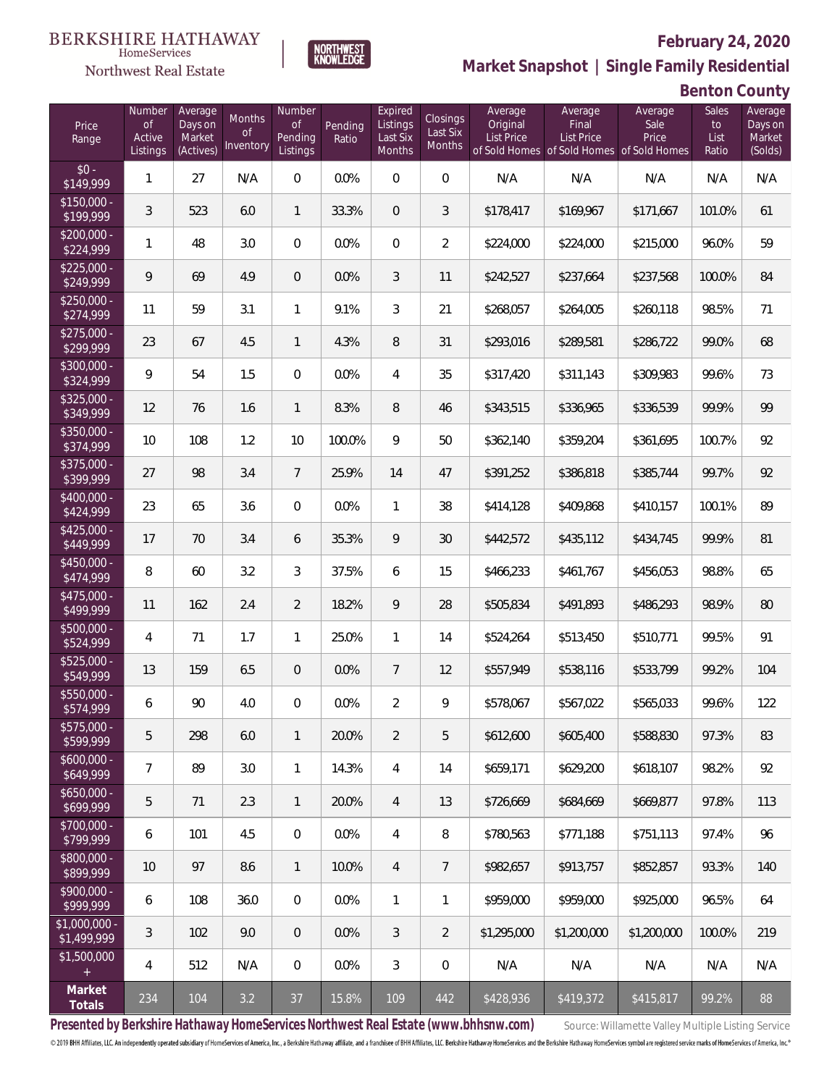#### **BERKSHIRE HATHAWAY NORTHWEST**<br>KNOWLEDGE HomeServices



## **February 24, 2020**

**Market Snapshot | Single Family Residential**

**Benton County**

| Price<br>Range               | Number<br><b>of</b><br>Active<br>Listings | Average<br>Days on<br>Market<br>(Actives) | Months<br><b>of</b><br>Inventory | Number<br>Οf<br>Pending<br>Listings | Pending<br>Ratio | Expired<br>Listings<br>Last Six<br>Months | Closings<br>Last Six<br>Months | Average<br>Original<br><b>List Price</b> | Average<br>Final<br><b>List Price</b><br>of Sold Homes of Sold Homes of Sold Homes | Average<br>Sale<br>Price | Sales<br>to<br>List<br>Ratio | Average<br>Days on<br>Market<br>(Solds) |
|------------------------------|-------------------------------------------|-------------------------------------------|----------------------------------|-------------------------------------|------------------|-------------------------------------------|--------------------------------|------------------------------------------|------------------------------------------------------------------------------------|--------------------------|------------------------------|-----------------------------------------|
| $$0 -$<br>$\sqrt{$149,999}$  | $\mathbf{1}$                              | 27                                        | N/A                              | $\overline{0}$                      | 0.0%             | $\Omega$                                  | $\overline{0}$                 | N/A                                      | N/A                                                                                | N/A                      | N/A                          | N/A                                     |
| $$150,000 -$<br>\$199,999    | 3                                         | 523                                       | 6.0                              | $\mathbf{1}$                        | 33.3%            | $\overline{0}$                            | 3                              | \$178,417                                | \$169,967                                                                          | \$171,667                | 101.0%                       | 61                                      |
| $$200,000 -$<br>\$224,999    | $\mathbf{1}$                              | 48                                        | 3.0                              | $\overline{0}$                      | 0.0%             | $\overline{0}$                            | 2                              | \$224,000                                | \$224,000                                                                          | \$215,000                | 96.0%                        | 59                                      |
| $$225,000 -$<br>\$249,999    | 9                                         | 69                                        | 4.9                              | $\overline{0}$                      | 0.0%             | 3                                         | 11                             | \$242,527                                | \$237,664                                                                          | \$237,568                | 100.0%                       | 84                                      |
| $$250,000 -$<br>\$274,999    | 11                                        | 59                                        | 3.1                              | $\mathbf{1}$                        | 9.1%             | 3                                         | 21                             | \$268,057                                | \$264,005                                                                          | \$260,118                | 98.5%                        | 71                                      |
| $$275,000 -$<br>\$299,999    | 23                                        | 67                                        | 4.5                              | $\mathbf{1}$                        | 4.3%             | 8                                         | 31                             | \$293,016                                | \$289,581                                                                          | \$286,722                | 99.0%                        | 68                                      |
| $$300,000 -$<br>\$324,999    | 9                                         | 54                                        | 1.5                              | $\overline{0}$                      | 0.0%             | $\overline{4}$                            | 35                             | \$317,420                                | \$311,143                                                                          | \$309,983                | 99.6%                        | 73                                      |
| $$325,000 -$<br>\$349,999    | 12                                        | 76                                        | 1.6                              | $\mathbf{1}$                        | 8.3%             | 8                                         | 46                             | \$343,515                                | \$336,965                                                                          | \$336,539                | 99.9%                        | 99                                      |
| $$350,000 -$<br>\$374,999    | 10                                        | 108                                       | 1.2                              | 10                                  | 100.0%           | 9                                         | 50                             | \$362,140                                | \$359,204                                                                          | \$361,695                | 100.7%                       | 92                                      |
| \$375,000 -<br>\$399,999     | 27                                        | 98                                        | 3.4                              | $7\overline{ }$                     | 25.9%            | 14                                        | 47                             | \$391,252                                | \$386,818                                                                          | \$385,744                | 99.7%                        | 92                                      |
| \$400,000 -<br>\$424,999     | 23                                        | 65                                        | 3.6                              | $\overline{0}$                      | 0.0%             | $\mathbf{1}$                              | 38                             | \$414,128                                | \$409,868                                                                          | \$410,157                | 100.1%                       | 89                                      |
| $$425,000 -$<br>\$449,999    | 17                                        | 70                                        | 3.4                              | 6                                   | 35.3%            | 9                                         | 30                             | \$442,572                                | \$435,112                                                                          | \$434,745                | 99.9%                        | 81                                      |
| $$450,000 -$<br>\$474,999    | 8                                         | 60                                        | 3.2                              | 3                                   | 37.5%            | 6                                         | 15                             | \$466,233                                | \$461,767                                                                          | \$456,053                | 98.8%                        | 65                                      |
| $$475,000 -$<br>\$499,999    | 11                                        | 162                                       | 2.4                              | $\overline{2}$                      | 18.2%            | 9                                         | 28                             | \$505,834                                | \$491,893                                                                          | \$486,293                | 98.9%                        | 80                                      |
| $$500,000 -$<br>\$524,999    | 4                                         | 71                                        | 1.7                              | $\mathbf{1}$                        | 25.0%            | $\mathbf{1}$                              | 14                             | \$524,264                                | \$513,450                                                                          | \$510,771                | 99.5%                        | 91                                      |
| $$525,000 -$<br>\$549,999    | 13                                        | 159                                       | 6.5                              | $\overline{0}$                      | 0.0%             | $\overline{7}$                            | 12                             | \$557,949                                | \$538,116                                                                          | \$533,799                | 99.2%                        | 104                                     |
| $$550,000 -$<br>\$574,999    | 6                                         | 90                                        | 4.0                              | $\overline{0}$                      | 0.0%             | $\overline{2}$                            | 9                              | \$578,067                                | \$567,022                                                                          | \$565,033                | 99.6%                        | 122                                     |
| $$575,000 -$<br>\$599,999    | 5                                         | 298                                       | 6.0                              | $\mathbf{1}$                        | 20.0%            | $\overline{2}$                            | 5                              | \$612,600                                | \$605,400                                                                          | \$588,830                | 97.3%                        | 83                                      |
| $$600,000 -$<br>\$649,999    | $\overline{7}$                            | 89                                        | 3.0                              | $\mathbf{1}$                        | 14.3%            | 4                                         | 14                             | \$659,171                                | \$629,200                                                                          | \$618,107                | 98.2%                        | 92                                      |
| $$650,000 -$<br>\$699,999    | 5                                         | 71                                        | 2.3                              | $\mathbf{1}$                        | 20.0%            | $\overline{4}$                            | 13                             | \$726,669                                | \$684,669                                                                          | \$669.877                | 97.8%                        | 113                                     |
| \$700,000 -<br>\$799,999     | 6                                         | 101                                       | 4.5                              | $\mathbf 0$                         | 0.0%             | 4                                         | 8                              | \$780,563                                | \$771,188                                                                          | \$751,113                | 97.4%                        | 96                                      |
| \$800,000 -<br>\$899,999     | 10                                        | 97                                        | 8.6                              | $\mathbf{1}$                        | 10.0%            | $\overline{4}$                            | $\overline{7}$                 | \$982,657                                | \$913,757                                                                          | \$852,857                | 93.3%                        | 140                                     |
| \$900,000 -<br>\$999,999     | 6                                         | 108                                       | 36.0                             | $\overline{0}$                      | 0.0%             | $\mathbf{1}$                              | 1                              | \$959,000                                | \$959,000                                                                          | \$925,000                | 96.5%                        | 64                                      |
| \$1,000,000 -<br>\$1,499,999 | $\mathfrak{Z}$                            | 102                                       | 9.0                              | $\overline{0}$                      | 0.0%             | 3                                         | $\overline{2}$                 | \$1,295,000                              | \$1,200,000                                                                        | \$1,200,000              | 100.0%                       | 219                                     |
| \$1,500,000<br>$\pm$         | 4                                         | 512                                       | N/A                              | $\mathbf 0$                         | 0.0%             | 3                                         | $\mathbf 0$                    | N/A                                      | N/A                                                                                | N/A                      | N/A                          | N/A                                     |
| Market<br>Totals             | 234                                       | 104                                       | 3.2                              | 37                                  | 15.8%            | 109                                       | 442                            | \$428,936                                | \$419,372                                                                          | \$415,817                | 99.2%                        | 88                                      |

Presented by Berkshire Hathaway HomeServices Northwest Real Estate (www.bhhsnw.com) source: Willamette Valley Multiple Listing Service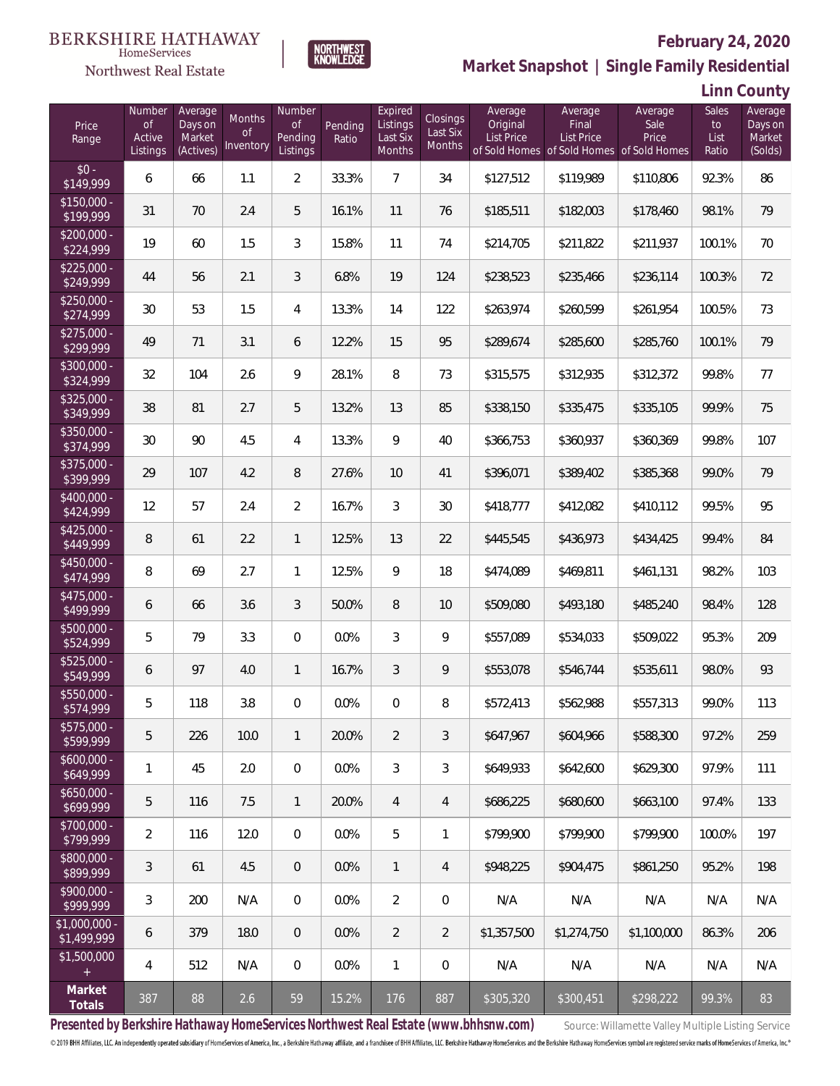

### **February 24, 2020**

**Market Snapshot | Single Family Residential**

**Linn County**

| Price<br>Range                | Number<br><b>of</b><br>Active<br>Listings | Average<br>Days on<br>Market<br>(Actives) | Months<br>Οf<br>Inventory | Number<br><b>of</b><br>Pending<br>Listings | Pending<br>Ratio | Expired<br>Listings<br>Last Six<br>Months | Closings<br>Last Six<br>Months | Average<br>Original<br>List Price | Average<br>Final<br>List Price<br>of Sold Homes of Sold Homes of Sold Homes | Average<br>Sale<br>Price | Sales<br>to<br>List<br>Ratio | Average<br>Days on<br>Market<br>(Solds) |
|-------------------------------|-------------------------------------------|-------------------------------------------|---------------------------|--------------------------------------------|------------------|-------------------------------------------|--------------------------------|-----------------------------------|-----------------------------------------------------------------------------|--------------------------|------------------------------|-----------------------------------------|
| $$0 -$<br>\$149,999           | 6                                         | 66                                        | 1.1                       | $\overline{2}$                             | 33.3%            | $\overline{7}$                            | 34                             | \$127,512                         | \$119,989                                                                   | \$110,806                | 92.3%                        | 86                                      |
| $$150,000 -$<br>\$199,999     | 31                                        | 70                                        | 2.4                       | 5                                          | 16.1%            | 11                                        | 76                             | \$185,511                         | \$182,003                                                                   | \$178,460                | 98.1%                        | 79                                      |
| $$200,000 -$<br>\$224,999     | 19                                        | 60                                        | 1.5                       | 3                                          | 15.8%            | 11                                        | 74                             | \$214,705                         | \$211,822                                                                   | \$211,937                | 100.1%                       | 70                                      |
| $$225,000 -$<br>\$249,999     | 44                                        | 56                                        | 2.1                       | 3                                          | 6.8%             | 19                                        | 124                            | \$238,523                         | \$235,466                                                                   | \$236,114                | 100.3%                       | 72                                      |
| $$250,000 -$<br>\$274,999     | 30                                        | 53                                        | 1.5                       | $\overline{4}$                             | 13.3%            | 14                                        | 122                            | \$263,974                         | \$260,599                                                                   | \$261,954                | 100.5%                       | 73                                      |
| $$275,000 -$<br>\$299,999     | 49                                        | 71                                        | 3.1                       | 6                                          | 12.2%            | 15                                        | 95                             | \$289,674                         | \$285,600                                                                   | \$285,760                | 100.1%                       | 79                                      |
| $$300,000 -$<br>\$324,999     | 32                                        | 104                                       | 2.6                       | 9                                          | 28.1%            | 8                                         | 73                             | \$315,575                         | \$312,935                                                                   | \$312,372                | 99.8%                        | 77                                      |
| \$325,000 -<br>\$349,999      | 38                                        | 81                                        | 2.7                       | 5                                          | 13.2%            | 13                                        | 85                             | \$338,150                         | \$335,475                                                                   | \$335,105                | 99.9%                        | 75                                      |
| $$350,000 -$<br>\$374,999     | 30                                        | 90                                        | 4.5                       | $\overline{4}$                             | 13.3%            | 9                                         | 40                             | \$366,753                         | \$360,937                                                                   | \$360,369                | 99.8%                        | 107                                     |
| $$375,000 -$<br>\$399,999     | 29                                        | 107                                       | 4.2                       | 8                                          | 27.6%            | 10                                        | 41                             | \$396,071                         | \$389,402                                                                   | \$385,368                | 99.0%                        | 79                                      |
| \$400,000 -<br>\$424,999      | 12                                        | 57                                        | 2.4                       | $\overline{2}$                             | 16.7%            | 3                                         | 30                             | \$418,777                         | \$412,082                                                                   | \$410,112                | 99.5%                        | 95                                      |
| $$425,000 -$<br>\$449,999     | 8                                         | 61                                        | 2.2                       | $\mathbf{1}$                               | 12.5%            | 13                                        | 22                             | \$445,545                         | \$436,973                                                                   | \$434,425                | 99.4%                        | 84                                      |
| $$450,000 -$<br>\$474,999     | 8                                         | 69                                        | 2.7                       | $\mathbf{1}$                               | 12.5%            | 9                                         | 18                             | \$474,089                         | \$469,811                                                                   | \$461,131                | 98.2%                        | 103                                     |
| \$475,000 -<br>\$499,999      | 6                                         | 66                                        | 3.6                       | 3                                          | 50.0%            | 8                                         | 10                             | \$509,080                         | \$493,180                                                                   | \$485,240                | 98.4%                        | 128                                     |
| \$500,000 -<br>\$524,999      | 5                                         | 79                                        | 3.3                       | $\overline{0}$                             | 0.0%             | 3                                         | 9                              | \$557,089                         | \$534,033                                                                   | \$509,022                | 95.3%                        | 209                                     |
| $$525,000 -$<br>\$549,999     | 6                                         | 97                                        | 4.0                       | $\mathbf{1}$                               | 16.7%            | $\mathfrak{Z}$                            | 9                              | \$553,078                         | \$546,744                                                                   | \$535,611                | 98.0%                        | 93                                      |
| \$550,000 -<br>\$574,999      | 5                                         | 118                                       | 3.8                       | $\mathbf{0}$                               | 0.0%             | $\overline{0}$                            | 8                              | \$572,413                         | \$562,988                                                                   | \$557,313                | 99.0%                        | 113                                     |
| $$575.000 -$<br>\$599,999     | 5                                         | 226                                       | 10.0                      | $\mathbf{1}$                               | 20.0%            | $\overline{2}$                            | 3                              | \$647.967                         | \$604,966                                                                   | \$588,300                | 97.2%                        | 259                                     |
| $$600,000 -$<br>\$649,999     | 1                                         | 45                                        | 2.0                       | $\overline{0}$                             | 0.0%             | 3                                         | 3                              | \$649,933                         | \$642,600                                                                   | \$629,300                | 97.9%                        | 111                                     |
| $$650,000 -$<br>\$699,999     | 5                                         | 116                                       | 7.5                       | $\mathbf{1}$                               | 20.0%            | 4                                         | 4                              | \$686,225                         | \$680,600                                                                   | \$663,100                | 97.4%                        | 133                                     |
| \$700,000 -<br>\$799,999      | $\overline{2}$                            | 116                                       | 12.0                      | $\overline{0}$                             | 0.0%             | 5                                         | 1                              | \$799.900                         | \$799.900                                                                   | \$799.900                | 100.0%                       | 197                                     |
| \$800,000 -<br>\$899,999      | 3                                         | 61                                        | 4.5                       | $\overline{0}$                             | 0.0%             | $\mathbf{1}$                              | 4                              | \$948,225                         | \$904,475                                                                   | \$861,250                | 95.2%                        | 198                                     |
| \$900,000 -<br>\$999,999      | 3                                         | 200                                       | N/A                       | $\mathbf 0$                                | 0.0%             | $\overline{2}$                            | $\mathbf 0$                    | N/A                               | N/A                                                                         | N/A                      | N/A                          | N/A                                     |
| $$1,000,000 -$<br>\$1,499,999 | 6                                         | 379                                       | 18.0                      | $\overline{0}$                             | 0.0%             | $\overline{2}$                            | $\overline{2}$                 | \$1,357,500                       | \$1,274,750                                                                 | \$1,100,000              | 86.3%                        | 206                                     |
| \$1,500,000<br>$+$            | 4                                         | 512                                       | N/A                       | $\overline{0}$                             | 0.0%             | $\mathbf{1}$                              | $\mathbf 0$                    | N/A                               | N/A                                                                         | N/A                      | N/A                          | N/A                                     |
| Market<br>Totals              | 387                                       | 88                                        | 2.6                       | 59                                         | 15.2%            | 176                                       | 887                            | \$305,320                         | \$300,451                                                                   | \$298,222                | 99.3%                        | 83                                      |

**NORTHWEST**<br>KNOWLEDGE

Presented by Berkshire Hathaway HomeServices Northwest Real Estate (www.bhhsnw.com) source: Willamette Valley Multiple Listing Service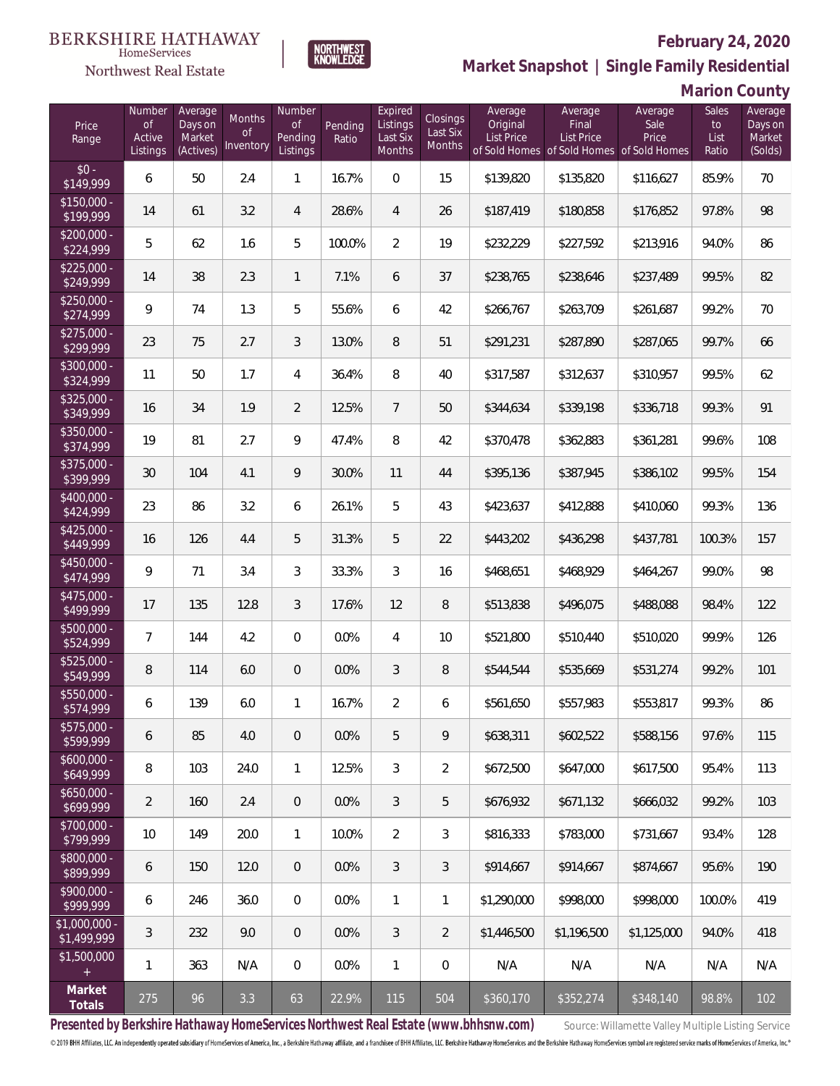

### **February 24, 2020**

**Market Snapshot | Single Family Residential**

**Marion County**

| Price<br>Range                   | Number<br><b>of</b><br>Active<br>Listings | Average<br>Days on<br>Market<br>(Actives) | Months<br>0f<br>Inventory | Number<br><b>of</b><br>Pending<br>Listings | Pending<br>Ratio | Expired<br>Listings<br>Last Six<br>Months | Closings<br>Last Six<br>Months | Average<br>Original<br>List Price | Average<br>Final<br>List Price<br>of Sold Homes of Sold Homes of Sold Homes | Average<br>Sale<br>Price | Sales<br>to<br>List<br>Ratio | Average<br>Days on<br>Market<br>(Solds) |
|----------------------------------|-------------------------------------------|-------------------------------------------|---------------------------|--------------------------------------------|------------------|-------------------------------------------|--------------------------------|-----------------------------------|-----------------------------------------------------------------------------|--------------------------|------------------------------|-----------------------------------------|
| $$0 -$<br>\$149,999              | 6                                         | 50                                        | 2.4                       | 1                                          | 16.7%            | $\overline{0}$                            | 15                             | \$139,820                         | \$135,820                                                                   | \$116,627                | 85.9%                        | 70                                      |
| $$150,000 -$<br>\$199,999        | 14                                        | 61                                        | 3.2                       | $\overline{4}$                             | 28.6%            | $\overline{4}$                            | 26                             | \$187,419                         | \$180,858                                                                   | \$176,852                | 97.8%                        | 98                                      |
| $\sqrt{$200,000}$ -<br>\$224,999 | 5                                         | 62                                        | 1.6                       | 5                                          | 100.0%           | $\overline{2}$                            | 19                             | \$232,229                         | \$227,592                                                                   | \$213,916                | 94.0%                        | 86                                      |
| $$225,000 -$<br>\$249,999        | 14                                        | 38                                        | 2.3                       | $\mathbf{1}$                               | 7.1%             | 6                                         | 37                             | \$238,765                         | \$238,646                                                                   | \$237,489                | 99.5%                        | 82                                      |
| $$250,000 -$<br>\$274,999        | 9                                         | 74                                        | 1.3                       | 5                                          | 55.6%            | 6                                         | 42                             | \$266,767                         | \$263,709                                                                   | \$261,687                | 99.2%                        | 70                                      |
| $$275,000 -$<br>\$299,999        | 23                                        | 75                                        | 2.7                       | 3                                          | 13.0%            | 8                                         | 51                             | \$291,231                         | \$287,890                                                                   | \$287,065                | 99.7%                        | 66                                      |
| $$300,000 -$<br>\$324,999        | 11                                        | 50                                        | 1.7                       | $\overline{4}$                             | 36.4%            | 8                                         | 40                             | \$317,587                         | \$312,637                                                                   | \$310,957                | 99.5%                        | 62                                      |
| $$325,000 -$<br>\$349,999        | 16                                        | 34                                        | 1.9                       | 2                                          | 12.5%            | $\overline{7}$                            | 50                             | \$344,634                         | \$339,198                                                                   | \$336,718                | 99.3%                        | 91                                      |
| $$350,000 -$<br>\$374,999        | 19                                        | 81                                        | 2.7                       | 9                                          | 47.4%            | 8                                         | 42                             | \$370,478                         | \$362,883                                                                   | \$361,281                | 99.6%                        | 108                                     |
| $$375,000 -$<br>\$399,999        | 30                                        | 104                                       | 4.1                       | 9                                          | 30.0%            | 11                                        | 44                             | \$395,136                         | \$387,945                                                                   | \$386,102                | 99.5%                        | 154                                     |
| \$400,000 -<br>\$424,999         | 23                                        | 86                                        | 3.2                       | 6                                          | 26.1%            | 5                                         | 43                             | \$423,637                         | \$412,888                                                                   | \$410,060                | 99.3%                        | 136                                     |
| $$425,000 -$<br>\$449,999        | 16                                        | 126                                       | 4.4                       | 5                                          | 31.3%            | 5                                         | 22                             | \$443,202                         | \$436,298                                                                   | \$437,781                | 100.3%                       | 157                                     |
| $$450,000 -$<br>\$474,999        | 9                                         | 71                                        | 3.4                       | 3                                          | 33.3%            | 3                                         | 16                             | \$468,651                         | \$468,929                                                                   | \$464,267                | 99.0%                        | 98                                      |
| $$475,000 -$<br>\$499,999        | 17                                        | 135                                       | 12.8                      | 3                                          | 17.6%            | 12                                        | 8                              | \$513,838                         | \$496,075                                                                   | \$488,088                | 98.4%                        | 122                                     |
| \$500,000 -<br>\$524,999         | $\overline{7}$                            | 144                                       | 4.2                       | $\overline{0}$                             | 0.0%             | $\overline{4}$                            | 10                             | \$521,800                         | \$510,440                                                                   | \$510,020                | 99.9%                        | 126                                     |
| $$525,000 -$<br>\$549,999        | 8                                         | 114                                       | 6.0                       | $\overline{0}$                             | 0.0%             | $\mathfrak{Z}$                            | 8                              | \$544,544                         | \$535,669                                                                   | \$531,274                | 99.2%                        | 101                                     |
| \$550,000 -<br>\$574,999         | 6                                         | 139                                       | 6.0                       | 1                                          | 16.7%            | $\overline{2}$                            | 6                              | \$561,650                         | \$557,983                                                                   | \$553,817                | 99.3%                        | 86                                      |
| \$575,000 -<br>\$599,999         | 6                                         | 85                                        | 4.0                       | $\overline{0}$                             | 0.0%             | 5                                         | 9                              | \$638,311                         | \$602,522                                                                   | \$588,156                | 97.6%                        | 115                                     |
| $$600,000 -$<br>\$649,999        | 8                                         | 103                                       | 24.0                      | $\mathbf{1}$                               | 12.5%            | $\mathfrak{Z}$                            | $\overline{2}$                 | \$672,500                         | \$647,000                                                                   | \$617,500                | 95.4%                        | 113                                     |
| $$650,000 -$<br>\$699,999        | $\overline{2}$                            | 160                                       | 2.4                       | $\overline{0}$                             | 0.0%             | $\mathfrak{Z}$                            | 5                              | \$676,932                         | \$671,132                                                                   | \$666,032                | 99.2%                        | 103                                     |
| $$700,000 -$<br>\$799,999        | 10                                        | 149                                       | 20.0                      | $\mathbf{1}$                               | 10.0%            | $\overline{2}$                            | $\sqrt{3}$                     | \$816,333                         | \$783,000                                                                   | \$731,667                | 93.4%                        | 128                                     |
| $$800,000 -$<br>\$899,999        | 6                                         | 150                                       | 12.0                      | $\overline{0}$                             | 0.0%             | $\mathfrak{Z}$                            | $\mathfrak{Z}$                 | \$914,667                         | \$914,667                                                                   | \$874,667                | 95.6%                        | 190                                     |
| $$900,000 -$<br>\$999,999        | 6                                         | 246                                       | 36.0                      | $\overline{0}$                             | 0.0%             | $\mathbf{1}$                              | 1                              | \$1,290,000                       | \$998,000                                                                   | \$998,000                | 100.0%                       | 419                                     |
| \$1,000,000 -<br>\$1,499,999     | $\mathfrak{Z}$                            | 232                                       | 9.0                       | $\overline{0}$                             | 0.0%             | $\mathfrak{Z}$                            | $\overline{2}$                 | \$1,446,500                       | \$1,196,500                                                                 | \$1,125,000              | 94.0%                        | 418                                     |
| \$1,500,000<br>$+$               | 1                                         | 363                                       | N/A                       | $\mathbf 0$                                | 0.0%             | $\mathbf{1}$                              | $\mathbf 0$                    | N/A                               | N/A                                                                         | N/A                      | N/A                          | N/A                                     |
| Market<br>Totals                 | 275                                       | 96                                        | 3.3                       | 63                                         | 22.9%            | 115                                       | 504                            | \$360,170                         | \$352,274                                                                   | \$348,140                | 98.8%                        | 102                                     |

**NORTHWEST**<br>KNOWLEDGE

Presented by Berkshire Hathaway HomeServices Northwest Real Estate (www.bhhsnw.com) source: Willamette Valley Multiple Listing Service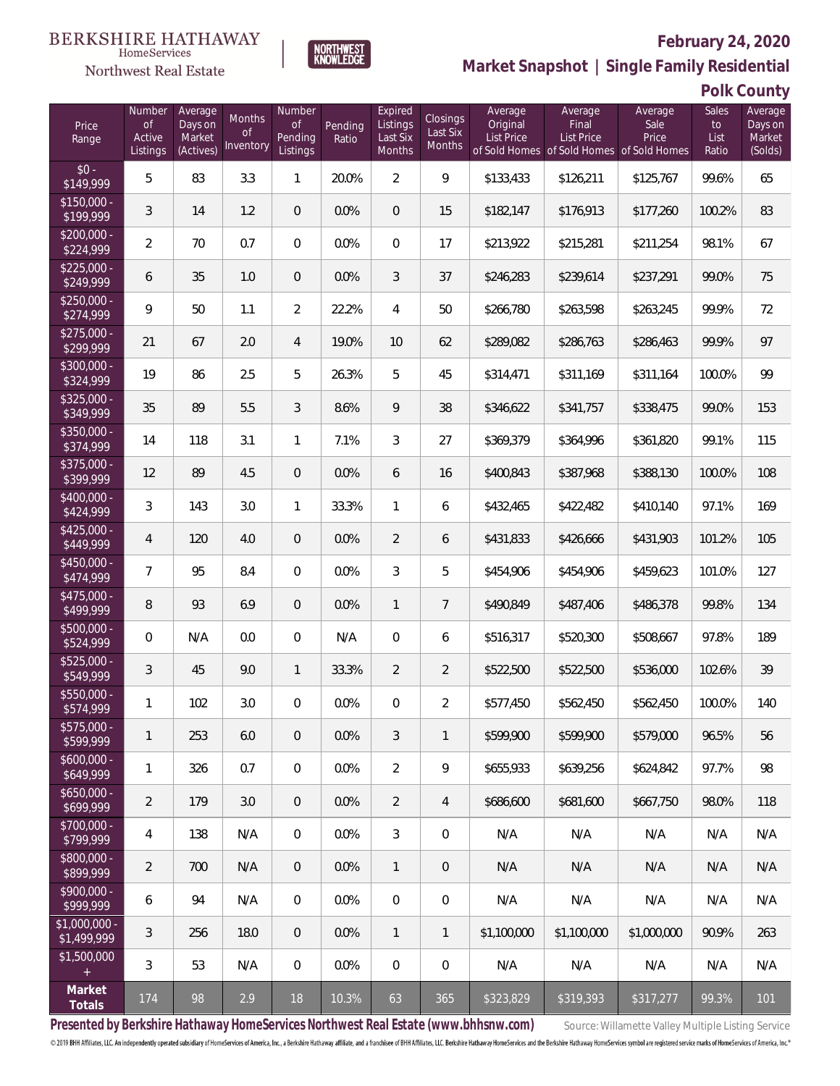### Northwest Real Estate

#### **February 24, 2020**



| Polk County |  |  |  |  |
|-------------|--|--|--|--|
|-------------|--|--|--|--|

| Price<br>Range                | Number<br>$\mathsf{of}$<br>Active<br>Listings | Average<br>Days on<br>Market<br>(Actives) | Months<br>0f<br>Inventory | Number<br>Οf<br>Pending<br>Listings | Pending<br>Ratio | Expired<br>Listings<br>Last Six<br>Months | Closings<br>Last Six<br>Months | Average<br>Original<br>List Price | Average<br>Final<br>List Price<br>of Sold Homes of Sold Homes of Sold Homes | Average<br>Sale<br>Price | Sales<br>to<br>List<br>Ratio | Average<br>Days on<br>Market<br>(Solds) |
|-------------------------------|-----------------------------------------------|-------------------------------------------|---------------------------|-------------------------------------|------------------|-------------------------------------------|--------------------------------|-----------------------------------|-----------------------------------------------------------------------------|--------------------------|------------------------------|-----------------------------------------|
| $$0 -$<br>$\sqrt{$149,999}$   | 5                                             | 83                                        | 3.3                       | $\mathbf{1}$                        | 20.0%            | $\overline{2}$                            | 9                              | \$133,433                         | \$126,211                                                                   | \$125,767                | 99.6%                        | 65                                      |
| $$150,000 -$<br>\$199,999     | 3                                             | 14                                        | 1.2                       | $\overline{0}$                      | 0.0%             | $\overline{0}$                            | 15                             | \$182,147                         | \$176,913                                                                   | \$177,260                | 100.2%                       | 83                                      |
| $$200,000 -$<br>\$224,999     | $\overline{2}$                                | 70                                        | 0.7                       | $\overline{0}$                      | 0.0%             | $\overline{0}$                            | 17                             | \$213,922                         | \$215,281                                                                   | \$211,254                | 98.1%                        | 67                                      |
| $$225,000 -$<br>\$249,999     | 6                                             | 35                                        | 1.0                       | $\overline{0}$                      | 0.0%             | 3                                         | 37                             | \$246,283                         | \$239,614                                                                   | \$237,291                | 99.0%                        | 75                                      |
| $$250,000 -$<br>\$274,999     | 9                                             | 50                                        | 1.1                       | $\overline{2}$                      | 22.2%            | $\overline{4}$                            | 50                             | \$266,780                         | \$263,598                                                                   | \$263,245                | 99.9%                        | 72                                      |
| $$275,000 -$<br>\$299,999     | 21                                            | 67                                        | 2.0                       | $\overline{4}$                      | 19.0%            | 10                                        | 62                             | \$289,082                         | \$286,763                                                                   | \$286,463                | 99.9%                        | 97                                      |
| $$300,000 -$<br>\$324,999     | 19                                            | 86                                        | 2.5                       | 5                                   | 26.3%            | 5                                         | 45                             | \$314,471                         | \$311,169                                                                   | \$311,164                | 100.0%                       | 99                                      |
| $$325,000 -$<br>\$349,999     | 35                                            | 89                                        | 5.5                       | 3                                   | 8.6%             | 9                                         | 38                             | \$346,622                         | \$341,757                                                                   | \$338,475                | 99.0%                        | 153                                     |
| $$350,000 -$<br>\$374,999     | 14                                            | 118                                       | 3.1                       | $\mathbf{1}$                        | 7.1%             | 3                                         | 27                             | \$369,379                         | \$364,996                                                                   | \$361,820                | 99.1%                        | 115                                     |
| $$375,000 -$<br>\$399,999     | 12                                            | 89                                        | 4.5                       | $\mathbf 0$                         | 0.0%             | 6                                         | 16                             | \$400,843                         | \$387,968                                                                   | \$388,130                | 100.0%                       | 108                                     |
| $$400,000 -$<br>\$424,999     | 3                                             | 143                                       | 3.0                       | $\mathbf{1}$                        | 33.3%            | 1                                         | 6                              | \$432,465                         | \$422,482                                                                   | \$410,140                | 97.1%                        | 169                                     |
| $$425,000 -$<br>\$449,999     | 4                                             | 120                                       | 4.0                       | $\overline{0}$                      | 0.0%             | $\overline{2}$                            | 6                              | \$431,833                         | \$426,666                                                                   | \$431,903                | 101.2%                       | 105                                     |
| $$450,000 -$<br>\$474,999     | $\overline{7}$                                | 95                                        | 8.4                       | $\overline{0}$                      | 0.0%             | 3                                         | 5                              | \$454,906                         | \$454,906                                                                   | \$459,623                | 101.0%                       | 127                                     |
| \$475,000 -<br>\$499,999      | 8                                             | 93                                        | 6.9                       | $\overline{0}$                      | 0.0%             | $\mathbf{1}$                              | $\overline{7}$                 | \$490,849                         | \$487,406                                                                   | \$486,378                | 99.8%                        | 134                                     |
| \$500,000 -<br>\$524,999      | 0                                             | N/A                                       | 0.0                       | $\mathbf 0$                         | N/A              | $\overline{0}$                            | 6                              | \$516,317                         | \$520,300                                                                   | \$508,667                | 97.8%                        | 189                                     |
| $$525,000 -$<br>\$549,999     | 3                                             | 45                                        | 9.0                       | $\mathbf{1}$                        | 33.3%            | $\overline{2}$                            | $\overline{2}$                 | \$522,500                         | \$522,500                                                                   | \$536,000                | 102.6%                       | 39                                      |
| \$550,000 -<br>\$574,999      | 1                                             | 102                                       | 3.0                       | $\overline{0}$                      | 0.0%             | $\overline{0}$                            | $\sqrt{2}$                     | \$577,450                         | \$562,450                                                                   | \$562,450                | 100.0%                       | 140                                     |
| \$575,000 -<br>\$599,999      | 1                                             | 253                                       | 6.0                       | $\theta$                            | 0.0%             | 3                                         | 1                              | \$599.900                         | \$599,900                                                                   | \$579,000                | 96.5%                        | 56                                      |
| $$600,000 -$<br>\$649,999     | 1                                             | 326                                       | 0.7                       | $\mathbf{0}$                        | 0.0%             | $\overline{2}$                            | 9                              | \$655,933                         | \$639,256                                                                   | \$624.842                | 97.7%                        | 98                                      |
| $$650,000 -$<br>\$699,999     | $\overline{2}$                                | 179                                       | 3.0                       | $\overline{0}$                      | 0.0%             | $\overline{2}$                            | $\overline{4}$                 | \$686,600                         | \$681,600                                                                   | \$667.750                | 98.0%                        | 118                                     |
| \$700,000 -<br>\$799,999      | 4                                             | 138                                       | N/A                       | $\overline{0}$                      | 0.0%             | $\mathfrak{Z}$                            | 0                              | N/A                               | N/A                                                                         | N/A                      | N/A                          | N/A                                     |
| \$800,000 -<br>\$899,999      | $\overline{2}$                                | 700                                       | N/A                       | $\overline{0}$                      | 0.0%             | $\mathbf{1}$                              | $\mathbf 0$                    | N/A                               | N/A                                                                         | N/A                      | N/A                          | N/A                                     |
| \$900,000 -<br>\$999,999      | 6                                             | 94                                        | N/A                       | $\overline{0}$                      | 0.0%             | $\boldsymbol{0}$                          | 0                              | N/A                               | N/A                                                                         | N/A                      | N/A                          | N/A                                     |
| $$1,000,000 -$<br>\$1,499,999 | 3                                             | 256                                       | 18.0                      | $\overline{0}$                      | 0.0%             | $\mathbf{1}$                              | $\mathbf{1}$                   | \$1,100,000                       | \$1,100,000                                                                 | \$1,000,000              | 90.9%                        | 263                                     |
| \$1,500,000                   | 3                                             | 53                                        | N/A                       | $\mathbf 0$                         | 0.0%             | $\boldsymbol{0}$                          | $\mathbf 0$                    | N/A                               | N/A                                                                         | N/A                      | N/A                          | N/A                                     |
| Market<br>Totals              | 174                                           | 98                                        | 2.9                       | 18                                  | 10.3%            | 63                                        | 365                            | \$323,829                         | \$319,393                                                                   | \$317,277                | 99.3%                        | 101                                     |

NORTHWEST<br>KNOWLEDGE

Presented by Berkshire Hathaway HomeServices Northwest Real Estate (www.bhhsnw.com) source: Willamette Valley Multiple Listing Service